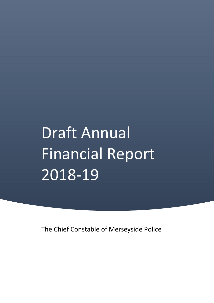# Draft Annual Financial Report 2018-19

The Chief Constable of Merseyside Police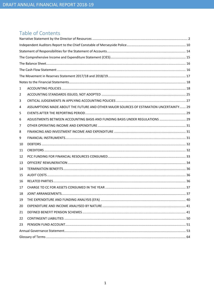# Table of Contents

| 1  |                                                                                        |  |
|----|----------------------------------------------------------------------------------------|--|
| 2  |                                                                                        |  |
| 3  |                                                                                        |  |
| 4  | ASSUMPTIONS MADE ABOUT THE FUTURE AND OTHER MAJOR SOURCES OF ESTIMATION UNCERTAINTY 29 |  |
| 5  |                                                                                        |  |
| 6  | ADJUSTMENTS BETWEEN ACCOUNTING BASIS AND FUNDING BASIS UNDER REGULATIONS  29           |  |
| 7  |                                                                                        |  |
| 8  |                                                                                        |  |
| 9  |                                                                                        |  |
| 10 |                                                                                        |  |
| 11 |                                                                                        |  |
| 12 |                                                                                        |  |
| 13 |                                                                                        |  |
| 14 |                                                                                        |  |
| 15 |                                                                                        |  |
| 16 |                                                                                        |  |
| 17 |                                                                                        |  |
| 18 |                                                                                        |  |
| 19 |                                                                                        |  |
| 20 |                                                                                        |  |
| 21 |                                                                                        |  |
| 22 |                                                                                        |  |
| 23 |                                                                                        |  |
|    |                                                                                        |  |
|    |                                                                                        |  |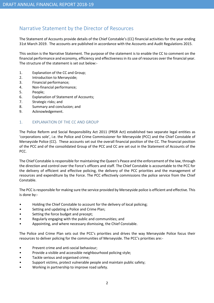# Narrative Statement by the Director of Resources

The Statement of Accounts provide details of the Chief Constable's (CC) financial activities for the year ending 31st March 2019. The accounts are published in accordance with the Accounts and Audit Regulations 2015.

This section is the Narrative Statement. The purpose of the statement is to enable the CC to comment on the financial performance and economy, efficiency and effectiveness in its use of resources over the financial year. The structure of the statement is set out below:-

- 1. Explanation of the CC and Group;
- 2. Introduction to Merseyside;
- 3. Financial performance;
- 4. Non-financial performance;
- 5. People;
- 6. Explanation of Statement of Accounts;
- 7. Strategic risks; and
- 8. Summary and conclusion; and
- 9. Acknowledgement.

## 1. EXPLANATION OF THE CC AND GROUP

The Police Reform and Social Responsibility Act 2011 (PRSR Act) established two separate legal entities as 'corporations sole', i.e. the Police and Crime Commissioner for Merseyside (PCC) and the Chief Constable of Merseyside Police (CC). These accounts set out the overall financial position of the CC. The financial position of the PCC and of the consolidated Group of the PCC and CC are set out in the Statement of Accounts of the PCC.

The Chief Constable is responsible for maintaining the Queen's Peace and the enforcement of the law, through the direction and control over the Force's officers and staff. The Chief Constable is accountable to the PCC for the delivery of efficient and effective policing, the delivery of the PCC priorities and the management of resources and expenditure by the Force. The PCC effectively commissions the police service from the Chief Constable.

The PCC is responsible for making sure the service provided by Merseyside police is efficient and effective. This is done by:-

- Holding the Chief Constable to account for the delivery of local policing;
- Setting and updating a Police and Crime Plan;
- Setting the force budget and precept;
- Regularly engaging with the public and communities; and
- Appointing, and where necessary dismissing, the Chief Constable.

The Police and Crime Plan sets out the PCC's priorities and drives the way Merseyside Police focus their resources to deliver policing for the communities of Merseyside. The PCC's priorities are:-

- Prevent crime and anti-social behaviour;
- Provide a visible and accessible neighbourhood policing style;
- Tackle serious and organised crime;
- Support victims, protect vulnerable people and maintain public safety;
- Working in partnership to improve road safety.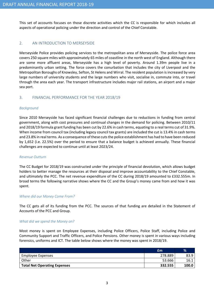This set of accounts focuses on those discrete activities which the CC is responsible for which includes all aspects of operational policing under the direction and control of the Chief Constable.

# 2. AN INTRODUCTION TO MERSEYSIDE

Merseyside Police provides policing services to the metropolitan area of Merseyside. The police force area covers 250 square miles with approximately 65 miles of coastline in the north west of England. Although there are some more affluent areas, Merseyside has a high level of poverty. Around 1.39m people live in a predominantly urban setting. The force covers the conurbation that includes the city of Liverpool and the Metropolitan Boroughs of Knowsley, Sefton, St Helens and Wirral. The resident population is increased by very large numbers of university students and the large numbers who visit, socialise in, commute into, or travel through the area each year. The transport infrastructure includes major rail stations, an airport and a major sea port.

# 3. FINANCIAL PERFORMANCE FOR THE YEAR 2018/19

## Background

Since 2010 Merseyside has faced significant financial challenges due to reductions in funding from central government, along with cost pressures and continual changes in the demand for policing. Between 2010/11 and 2018/19 formula grant funding has been cut by 22.6% in cash terms, equating to a real terms cut of 31.9%. When income from council tax (including legacy council tax grants) are included the cut is 13.4% in cash terms and 23.8% in real terms. As a consequence of these cuts the police establishment has had to have been reduced by 1,652 (i.e. 22.5%) over the period to ensure that a balance budget is achieved annually. These financial challenges are expected to continue until at least 2023/24.

## Revenue Outturn

The CC Budget for 2018/19 was constructed under the principle of financial devolution, which allows budget holders to better manage the resources at their disposal and improve accountability to the Chief Constable, and ultimately the PCC. The net revenue expenditure of the CC during 2018/19 amounted to £332.555m. In broad terms the following narrative shows where the CC and the Group's money came from and how it was spent.

## Where did our Money Come From?

The CC gets all of its funding from the PCC. The sources of that funding are detailed in the Statement of Accounts of the PCC and Group.

## What did we spend the Money on?

Most money is spent on Employee Expenses, including Police Officers, Police Staff, including Police and Community Support and Traffic Officers, and Police Pensions. Other money is spent in various ways including forensics, uniforms and ICT. The table below shows where the money was spent in 2018/19.

|                                     | £m      | $\%$  |
|-------------------------------------|---------|-------|
| Employee Expenses                   | 278.889 | 83.9  |
| Other                               | 53.666  | 16.1  |
| <b>Total Net Operating Expenses</b> | 332.555 | 100.0 |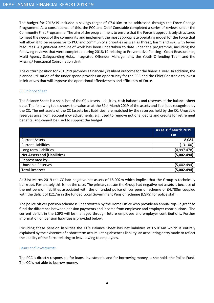The budget for 2018/19 included a savings target of £7.016m to be addressed through the Force Change Programme. As a consequence of this, the PCC and Chief Constable completed a series of reviews under the Community First Programme. The aim of the programme is to ensure that the Force is appropriately structured to meet the needs of the community and implement the most appropriate operating model for the Force that will allow it to be responsive to PCC and community's priorities as well as threat, harm and risk, with fewer resources. A significant amount of work has been undertaken to date under the programme, including the following reviews that were completed during 2018/19 relating to Preventative Policing - Court Reassurance, Multi Agency Safeguarding Hubs, Integrated Offender Management, the Youth Offending Team and the Missing/ Functional Coordination Unit.

The outturn position for 2018/19 provides a financially resilient outcome for the financial year. In addition, the planned utilisation of the under spend provides an opportunity for the PCC and the Chief Constable to invest in initiatives that will improve the operational effectiveness and efficiency of Force.

## CC Balance Sheet

The Balance Sheet is a snapshot of the CC's assets, liabilities, cash balances and reserves at the balance sheet date. The following table shows the value as at the 31st March 2019 of the assets and liabilities recognised by the CC. The net assets of the CC (assets less liabilities) are matched by the reserves held by the CC. Unusable reserves arise from accountancy adjustments, e.g. used to remove notional debits and credits for retirement benefits, and cannot be used to support the budget.

|                                     | As at 31 <sup>st</sup> March 2019 |
|-------------------------------------|-----------------------------------|
|                                     | £m                                |
| <b>Current Assets</b>               | 8.084                             |
| <b>Current Liabilities</b>          | (13.100)                          |
| Long term Liabilities               | (4,997.478)                       |
| <b>Net Assets and (Liabilities)</b> | (5,002.494)                       |
| Represented by:-                    |                                   |
| <b>Unusable Reserves</b>            | (5,002.494)                       |
| <b>Total Reserves</b>               | (5,002.494)                       |

At 31st March 2019 the CC had negative net assets of £5,002m which implies that the Group is technically bankrupt. Fortunately this is not the case. The primary reason the Group had negative net assets is because of the net pension liabilities associated with the unfunded police officer pension scheme of £4,780m coupled with the deficit of £217m in the funded Local Government Pension Scheme (LGPS) for police staff.

The police officer pension scheme is underwritten by the Home Office who provide an annual top-up grant to fund the difference between pension payments and income from employee and employer contributions. The current deficit in the LGPS will be managed through future employee and employer contributions. Further information on pension liabilities is provided below.

Excluding these pension liabilities the CC's Balance Sheet has net liabilities of £5.016m which is entirely explained by the existence of a short term accumulating absences liability, an accounting entry made to reflect the liability of the Force relating to leave owing to employees.

## Loans and Investments

The PCC is directly responsible for loans, investments and for borrowing money as she holds the Police Fund. The CC is not able to borrow money.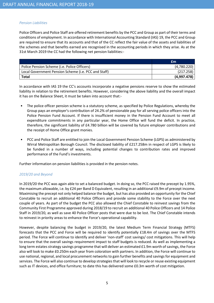## Pension Liabilities

Police Officers and Police Staff are offered retirement benefits by the PCC and Group as part of their terms and conditions of employment. In accordance with International Accounting Standard (IAS) 19, the PCC and Group are required to ensure that its accounts and that of the CC reflect the fair value of the assets and liabilities of the schemes and that benefits earned are recognised in the accounting periods in which they arise. As at the 31st March 2019 the CC had the following net pension liabilities:-

|                                                      | £m          |
|------------------------------------------------------|-------------|
| Police Pension Scheme (i.e. Police Officers)         | (4,780.220) |
| Local Government Pension Scheme (i.e. PCC and Staff) | (217.258)   |
| <b>Total</b>                                         | (4,997.478) |

In accordance with IAS 19 the CC's accounts incorporate a negative pensions reserve to show the estimated liability in relation to the retirement benefits. However, considering the above liability and the overall impact it has on the Balance Sheet, it must be taken into account that:-

- The police officer pension scheme is a statutory scheme, as specified by Police Regulations, whereby the Group pays an employer's contribution of 24.2% of pensionable pay for all serving police officers into the Police Pension Fund Account. If there is insufficient money in the Pension Fund Account to meet all expenditure commitments in any particular year, the Home Office will fund the deficit. In practice, therefore, the significant liability of £4.780 billion will be covered by future employer contributions and the receipt of Home Office grant monies.
- PCC and Police Staff are entitled to join the Local Government Pension Scheme (LGPS) as administered by Wirral Metropolitan Borough Council. The disclosed liability of £217.258m in respect of LGPS is likely to be funded in a number of ways, including potential changes to contribution rates and improved performance of the Fund's investments.

Further information on pension liabilities is provided in the pension notes.

## 2019/20 and Beyond

In 2019/20 the PCC was again able to set a balanced budget. In doing so, the PCC raised the precept by 1.95%, the maximum allowable, i.e. by £24 per Band D Equivalent, resulting in an additional £9.9m of precept income. Maximising the precept not only helped balance the budget, but has also provided an opportunity for the Chief Constable to recruit an additional 40 Police Officers and provide some stability to the Force over the next couple of years. As part of the budget the PCC also allowed the Chief Constable to reinvest savings from the Community First Programme approved during 2018/19 to recruit an additional 40 Police Officers and 14 Police Staff in 2019/20, as well as save 40 Police Officer posts that were due to be lost. The Chief Constable intends to reinvest in priority areas to enhance the Force's operational capability.

However, despite balancing the budget in 2019/20, the latest Medium Term Financial Strategy (MTFS) forecasts that the PCC and Force will be required to identify potentially £18.4m of savings over the MTFS period. The Force will continue to identify and deliver 'non-staff' cost savings/ cost mitigations. This will help to ensure that the overall savings requirement impact to staff budgets is reduced. As well as implementing a long term estates strategy savings programme that will deliver an estimated £1.9m worth of savings, the Force also will look to make £0.250m each year from coloration with partners. In addition, the Force will continue to use national, regional, and local procurement networks to gain further benefits and savings for equipment and services. The Force will also continue to develop strategies that will look to recycle or reuse existing equipment such as IT devices, and office furniture; to date this has delivered some £0.3m worth of cost mitigation.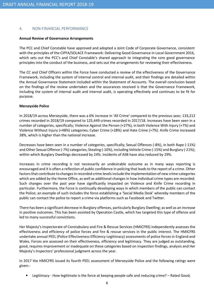# 4. NON-FINANCIAL PERFORMANCE

## Annual Review of Governance Arrangements

The PCC and Chief Constable have approved and adopted a Joint Code of Corporate Governance, consistent with the principles of the CIPFA/SOLACE Framework: Delivering Good Governance in Local Government 2016, which sets out the PCC's and Chief Constable's shared approach to integrating the core good governance principles into the conduct of the business, and sets out the arrangements for reviewing their effectiveness.

The CC and Chief Officers within the Force have conducted a review of the effectiveness of the Governance Framework, including the system of internal control and internal audit, and their findings are detailed within the Annual Governance Statement included within the Statement of Accounts. The overall conclusion based on the findings of the review undertaken and the assurances received is that the Governance Framework, including the system of internal audit and internal audit, is operating effectively and continues to be fit for purpose.

## Merseyside Police

In 2018/19 across Merseyside, there was a 6% increase in 'All Crime' compared to the previous year; 133,212 crimes recorded in 2018/19 compared to 125,449 crimes recorded in 2017/18. Increases have been seen in a number of categories, specifically; Violence Against the Person (+27%), in both Violence With Injury (+7%) and Violence Without Injury (+48%) categories; Cyber Crime (+28%) and Hate Crime (+7%). Knife Crime increased 38%, which is higher than the national increase.

Decreases have been seen in a number of categories, specifically; Sexual Offences (-8%), in both Rape (-11%) and Other Sexual Offence (-7%) categories; Stealing (-10%), including Vehicle Crime (-15%) and Burglary (-21%); within which Burglary Dwellings decreased by 24%. Incidents of ASB have also reduced by 29%.

Increases in crime recording is not necessarily an undesirable outcome as in many ways reporting is encouraged and it is often a reflection of public confidence in policing that leads to the report of a crime. Other factors that contribute to changes in recorded crime levels include the implementation of new crime categories which are added by the Home Office, as well as additional changes in how individual crime types are recorded. Such changes over the past year have significantly impacted on Violence and Knife Crime recording in particular. Furthermore, the Force is continually developing ways in which members of the public can contact the Police; an example of such includes the force establishing a 'Social Media Desk' whereby members of the public can contact the police to report a crime via platforms such as Facebook and Twitter.

There has been a significant decrease in Burglary offences, particularly Burglary Dwelling; as well as an increase in positive outcomes. This has been assisted by Operation Castle, which has targeted this type of offence and led to many successful convictions.

Her Majesty's Inspectorate of Constabulary and Fire & Rescue Services (HMICFRS) independently assesses the effectiveness and efficiency of police forces and fire & rescue services in the public interest. The HMICFRS undertake annual PEEL (Police Effectiveness Efficiency Legitimacy) assessments of police forces in England and Wales. Forces are assessed on their effectiveness, efficiency and legitimacy. They are judged as outstanding, good, requires improvement or inadequate on these categories based on inspection findings, analysis and Her Majesty's Inspectors' professional judgment across the year.

In 2017 the HMICFRS issued its fourth PEEL assessment of Merseyside Police and the following ratings were given:-

• Legitimacy - How legitimate is the force at keeping people safe and reducing crime? – Rated Good;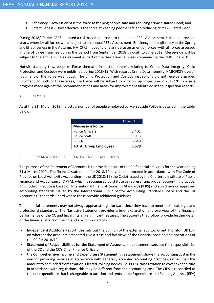- Efficiency How efficient is the force at keeping people safe and reducing crime?- Rated Good; and
- Effectiveness How effective is the force at keeping people safe and reducing crime? Rated Good.

During 2018/19, HMICFRS adopted a risk based approach to the annual PEEL Assessment. Unlike in previous years, whereby all forces were subject to an annual PEEL Assessment, Efficiency and Legitimacy in the Spring and Effectiveness in the Autumn, HMICFRS moved to one annual assessment of forces, with all forces assessed in one of three tranches during the period from September 2018 through to June 2019. Merseyside will be subject to the annual PEEL assessment as part of the third tranche, week commencing the 24th June 2019.

Notwithstanding this, bespoke Force thematic inspection reports relating to Crime Data Integrity, Child Protection and Custody were published during 2018/19. With regards Crime Data Integrity, HMICFRS's overall judgment of the Force was 'good.' The Child Protection and Custody inspections did not receive a graded judgment. In both of these areas, the Force will be subject to a follow up inspection in 2019/20 to assess progress made against the recommendations and areas for improvement identified in the inspection reports.

## 5. PEOPLE

As at the 31<sup>st</sup> March 2019 the actual number of people employed by Merseyside Police is detailed in the table below.

|                              | <b>Total FTE</b> |
|------------------------------|------------------|
| <b>Merseyside Police</b>     |                  |
| <b>Police Officers</b>       | 3,401            |
| <b>Police Staff</b>          | 1,913            |
| <b>PCSO<sub>S</sub></b>      | 2648             |
| <b>TOTAL Group Employees</b> | 5,579            |

# 6. EXPLANATION OF THE STATEMENT OF ACCOUNTS

The purpose of the Statement of Accounts is to provide details of the CC financial activities for the year ending 31st March 2019. The financial statements for 2018/19 have been prepared in accordance with The Code of Practice on Local Authority Accounting in the UK 2018/19 (the Code) issued by the Chartered Institute of Public Finance and Accountancy (CIPFA), which is recognised by statute as representing proper accounting practice. This Code of Practice is based on International Financial Reporting Standards (IFRS) and also draws on approved accounting standards issued by the International Public Sector Accounting Standards Board and the UK Accounting Standards Board where these provide additional guidance.

The financial statements may not always appear straightforward since they have to meet technical, legal and professional standards. The Narrative Statement provides a brief explanation and overview of the financial performance of the CC and highlights any significant features. The accounts that follow provide further detail of the financial affairs of the CC and are comprised of:-

- Independent Auditor's Report, this sets out the opinion of the external auditor, Grant Thornton UK LLP, on whether the accounts presented give a 'true and fair view' of the financial position and operations of the CC for 2018/19;
- Statement of Responsibilities for the Statement of Accounts, this statement sets out the responsibilities of the CC and the CC's Chief Finance Officer;
- the Comprehensive Income and Expenditure Statement, this statement shows the accounting cost in the year of providing services in accordance with generally accepted accounting practices, rather than the amount to be funded from taxation. Elected Policing Bodies, i.e. PCC's, raise taxation to cover expenditure in accordance with regulations, this may be different from the accounting cost. The CIES is reconciled to the net expenditure that is chargeable to taxation and rents in the Expenditure and Funding Analysis (EFA)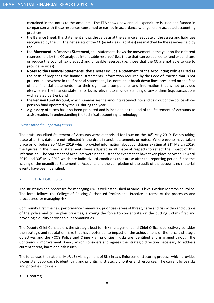contained in the notes to the accounts. The EFA shows how annual expenditure is used and funded in comparison with those resources consumed or earned in accordance with generally accepted accounting practices;

- the **Balance Sheet**, this statement shows the value as at the Balance Sheet date of the assets and liabilities recognised by the CC. The net assets of the CC (assets less liabilities) are matched by the reserves held by the CC;
- the Movement in Reserves Statement, this statement shows the movement in the year on the different reserves held by the CC analysed into 'usable reserves' (i.e. those that can be applied to fund expenditure or reduce the council tax precept) and unusable reserves (i.e. those that the CC are not able to use to provide services);
- Notes to the Financial Statements, these notes include a Statement of the Accounting Policies used as the basis of preparing the financial statements, information required by the Code of Practice that is not presented elsewhere in the financial statements, i.e. notes that break down lines presented on the face of the financial statements into their significant components and information that is not provided elsewhere in the financial statements, but is relevant to an understanding of any of them (e.g. transactions with related parties); and
- the Pension Fund Account, which summarises the amounts received into and paid out of the police officer pension fund operated by the CC during the year;
- A glossary of terms has also been prepared and is included at the end of the Statement of Accounts to assist readers in understanding the technical accounting terminology.

# Events After the Reporting Period

The draft unaudited Statement of Accounts were authorised for issue on the 30<sup>th</sup> May 2019. Events taking place after this date are not reflected in the draft financial statements or notes. Where events have taken place on or before 30<sup>th</sup> May 2019 which provided information about conditions existing at 31<sup>st</sup> March 2019, the figures in the financial statements were adjusted in all material respects to reflect the impact of this information. The Statement of Accounts were not adjusted for events that have taken place between 1st April 2019 and  $30<sup>th</sup>$  May 2019 which are indicative of conditions that arose after the reporting period. Since the issuing of the unaudited Statement of Accounts and the completion of the audit of the accounts no material events have been identified.

# 7. STRATEGIC RISKS

The structures and processes for managing risk is well established at various levels within Merseyside Police. The force follows the College of Policing Authorised Professional Practice in terms of the processes and procedures for managing risk.

Community First, the new performance framework, prioritises areas of threat, harm and risk within and outside of the police and crime plan priorities, allowing the force to concentrate on the putting victims first and providing a quality service to our communities.

The Deputy Chief Constable is the strategic lead for risk management and Chief Officers collectively consider the strategic and reputation risks that have potential to impact on the achievement of the force's strategic objectives and the PCC's Police and Crime Plan priorities. Risks are identified and managed through the Continuous Improvement Board, which considers and agrees the strategic direction necessary to address current threat, harm and risk issues.

The force uses the national MoRiLE (Management of Risk in Law Enforcement) scoring process, which provides a consistent approach to identifying and prioritising strategic priorities and resources. The current force risks and priorities include:-

• Firearms;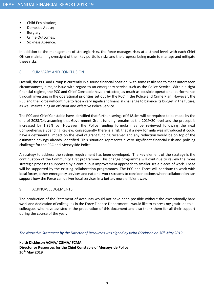- Child Exploitation;
- Domestic Abuse;
- Burglary;
- Crime Outcomes;
- Sickness Absence.

In addition to the management of strategic risks, the force manages risks at a strand level, with each Chief Officer maintaining oversight of their key portfolio risks and the progress being made to manage and mitigate these risks.

## 8. SUMMARY AND CONCLUSION

Overall, the PCC and Group is currently in a sound financial position, with some resilience to meet unforeseen circumstances, a major issue with regard to an emergency service such as the Police Service. Within a tight financial regime, the PCC and Chief Constable have protected, as much as possible operational performance through investing in the operational priorities set out by the PCC in the Police and Crime Plan. However, the PCC and the Force will continue to face a very significant financial challenge to balance its budget in the future, as well maintaining an efficient and effective Police Service.

The PCC and Chief Constable have identified that further savings of £18.4m will be required to be made by the end of 2023/24, assuming that Government Grant funding remains at the 2019/20 level and the precept is increased by 1.95% pa. However, the Police funding formula may be reviewed following the next Comprehensive Spending Review, consequently there is a risk that if a new formula was introduced it could have a detrimental impact on the level of grant funding received and any reduction would be on top of the estimated savings already identified. This situation represents a very significant financial risk and policing challenge for the PCC and Merseyside Police.

A strategy to address the savings requirement has been developed. The key element of the strategy is the continuation of the Community First programme. This change programme will continue to review the more strategic processes supported by a continuous improvement approach to smaller scale pieces of work. These will be supported by the existing collaboration programmes. The PCC and Force will continue to work with local forces, other emergency services and national work streams to consider options where collaboration can support how the Force can deliver local services in a better, more efficient way.

## 9. ACKNOWLEDGEMENTS

The production of the Statement of Accounts would not have been possible without the exceptionally hard work and dedication of colleagues in the Force Finance Department. I would like to express my gratitude to all colleagues who have assisted in the preparation of this document and also thank them for all their support during the course of the year.

## The Narrative Statement by the Director of Resources was signed by Keith Dickinson on 30<sup>th</sup> May 2019

Keith Dickinson ACMA/ CGMA/ FCMA Director or Resources for the Chief Constable of Merseyside Police 30th May 2019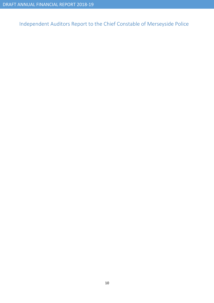Independent Auditors Report to the Chief Constable of Merseyside Police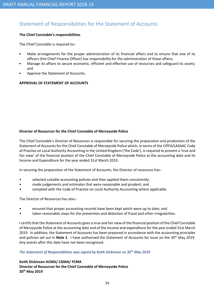# Statement of Responsibilities for the Statement of Accounts

## The Chief Constable's responsibilities

The Chief Constable is required to:-

- Make arrangements for the proper administration of its financial affairs and to ensure that one of its officers (the Chief Finance Officer) has responsibility for the administration of those affairs;
- Manage its affairs to secure economic, efficient and effective use of resources and safeguard its assets; and
- Approve the Statement of Accounts.

# APPROVAL OF STATEMENT OF ACCOUNTS

## Director of Resources for the Chief Constable of Merseyside Police

The Chief Constable's Director of Resources is responsible for securing the preparation and production of the Statement of Accounts for the Chief Constable of Merseyside Police which, in terms of the CIPFA/LASAAC Code of Practice on Local Authority Accounting in the United Kingdom ('the Code'), is required to present a 'true and fair view' of the financial position of the Chief Constable of Merseyside Police at the accounting date and its Income and Expenditure for the year ended 31st March 2019.

In securing the preparation of the Statement of Accounts, the Director of resources has:-

- selected suitable accounting policies and then applied them consistently;
- made judgements and estimates that were reasonable and prudent; and
- complied with the Code of Practice on Local Authority Accounting where applicable.

The Director of Resources has also:-

- ensured that proper accounting records have been kept which were up to date; and
- taken reasonable steps for the prevention and detection of fraud and other irregularities.

I certify that the Statement of Accounts gives a true and fair view of the financial position of the Chief Constable of Merseyside Police at the accounting date and of the income and expenditure for the year ended 31st March 2019. In addition, the Statement of Accounts has been prepared in accordance with the accounting principles and policies set out in Note 1. I have authorised the Statement of Accounts for issue on the  $30^{th}$  May 2019. Any events after this date have not been recognised.

## The Statement of Responsibilities was signed by Keith Dickinson on  $30<sup>th</sup>$  May 2019

# Keith Dickinson ACMA/ CGMA/ FCMA

Director of Resources for the Chief Constable of Merseyside Police 30th May 2019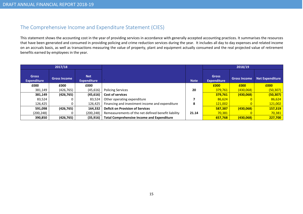# The Comprehensive Income and Expenditure Statement (CIES)

This statement shows the accounting cost in the year of providing services in accordance with generally accepted accounting practices. It summarises the resources that have been generated and consumed in providing policing and crime reduction services during the year. It includes all day to day expenses and related income on an accruals basis, as well as transactions measuring the value of property, plant and equipment actually consumed and the real projected value of retirementbenefits earned by employees in the year.

| 2017/18                            |                     |                                  |                                                     |             |                                    | 2018/19             |                 |
|------------------------------------|---------------------|----------------------------------|-----------------------------------------------------|-------------|------------------------------------|---------------------|-----------------|
| <b>Gross</b><br><b>Expenditure</b> | <b>Gross Income</b> | <b>Net</b><br><b>Expenditure</b> |                                                     | <b>Note</b> | <b>Gross</b><br><b>Expenditure</b> | <b>Gross Income</b> | Net Expenditure |
| £000                               | £000                | £000                             |                                                     |             | £000                               | £000                | £000            |
| 381,149                            | (426, 765)          | (45, 616)                        | <b>Policing Services</b>                            | 20          | 379,761                            | (430,068)           | (50, 307)       |
| 381,149                            | (426, 765)          | (45, 616)                        | <b>Cost of services</b>                             |             | 379,761                            | (430,068)           | (50, 307)       |
| 83.524                             |                     | 83.524                           | Other operating expenditure                         |             | 86,624                             |                     | 86,624          |
| 126,425                            |                     | 126,425                          | Financing and investment income and expenditure     | 8           | 121,002                            |                     | 121,002         |
| 591,098                            | (426, 765)          | 164,332                          | <b>Deficit on Provision of Services</b>             |             | 587,387                            | (430,068)           | 157,319         |
| (200,248)                          |                     | (200, 248)                       | Remeasurements of the net defined benefit liability | 21.14       | 70,381                             |                     | 70,381          |
| 390,850                            | (426, 765)          | (35, 916)                        | <b>Total Comprehensive Income and Expenditure</b>   |             | 657,768                            | (430,068)           | 227,700         |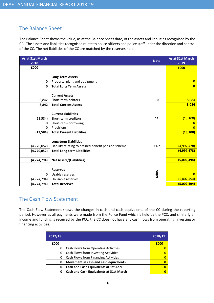# The Balance Sheet

The Balance Sheet shows the value, as at the Balance Sheet date, of the assets and liabilities recognised by the CC. The assets and liabilities recognised relate to police officers and police staff under the direction and control of the CC. The net liabilities of the CC are matched by the reserves held.

| As at 31st March<br>2018 |                                                      | <b>Note</b> | As at 31st March<br>2019 |
|--------------------------|------------------------------------------------------|-------------|--------------------------|
| £000                     |                                                      |             | £000                     |
|                          |                                                      |             |                          |
|                          | <b>Long Term Assets</b>                              |             |                          |
| 0                        | Property, plant and equipment                        |             | $\overline{0}$           |
| $\mathbf{0}$             | <b>Total Long Term Assets</b>                        |             | $\overline{0}$           |
|                          |                                                      |             |                          |
|                          | <b>Current Assets</b>                                |             |                          |
| 8,842                    | Short-term debtors                                   | 10          | 8,084                    |
| 8,842                    | <b>Total Current Assets</b>                          |             | 8,084                    |
|                          | <b>Current Liabilities</b>                           |             |                          |
| (13, 584)                | Short-term creditors                                 | 11          | (13, 100)                |
| 0                        | Short-term borrowing                                 |             | O                        |
| 0                        | Provisions                                           |             | 0                        |
| (13, 584)                | <b>Total Current Liabilities</b>                     |             | (13, 100)                |
|                          |                                                      |             |                          |
|                          | <b>Long-term Liabilities</b>                         |             |                          |
| (4,770,052)              | Liability relating to defined benefit pension scheme | 21.7        | (4,997,478)              |
| (4,770,052)              | <b>Total Long-term Liabilities</b>                   |             | (4,997,478)              |
|                          |                                                      |             |                          |
| (4, 774, 794)            | <b>Net Assets/(Liabilities)</b>                      |             | (5,002,494)              |
|                          |                                                      |             |                          |
|                          | <b>Reserves</b>                                      |             |                          |
| 0                        | Usable reserves                                      | MiRS        | $\overline{0}$           |
| (4, 774, 794)            | Unusable reserves                                    |             | (5,002,494)              |
| (4, 774, 794)            | <b>Total Reserves</b>                                |             | (5,002,494)              |

# The Cash Flow Statement

The Cash Flow Statement shows the changes in cash and cash equivalents of the CC during the reporting period. However as all payments were made from the Police Fund which is held by the PCC, and similarly all income and funding is received by the PCC, the CC does not have any cash flows from operating, investing or financing activities.

| 2017/18 |                                                | 2018/19 |
|---------|------------------------------------------------|---------|
| £000    |                                                | £000    |
| 0       | Cash Flows from Operating Activities           |         |
| 0       | Cash Flows from Investing Activities           |         |
| 0       | Cash Flows from Financing Activities           |         |
| 0       | Movement in cash and cash equivalents          |         |
| 0       | <b>Cash and Cash Equivalents at 1st April</b>  | n       |
| 0       | <b>Cash and Cash Equivalents at 31st March</b> |         |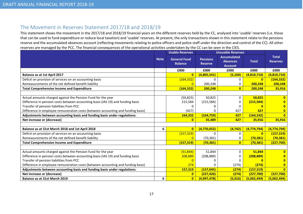# The Movement in Reserves Statement 2017/18 and 2018/19

 This statement shows the movement in the 2017/18 and 2018/19 financial years on the different reserves held by the CC, analysed into 'usable' reserves (i.e. those that can be used to fund expenditure or reduce local taxation) and 'usable' reserves. At present, the only transactions shown in this statement relate to the pensions reserve and the accumulated absences account (reflecting movements relating to police officers and police staff under the direction and control of the CC). All other reserves are managed by the PCC. The financial consequences of the operational activities undertaken by the CC can be seen in the CIES.

|                                                                                  |             | <b>Usable Reserves</b>                |                                   | <b>Unusable Reserves</b>                                |               |                                 |
|----------------------------------------------------------------------------------|-------------|---------------------------------------|-----------------------------------|---------------------------------------------------------|---------------|---------------------------------|
|                                                                                  | <b>Note</b> | <b>General Fund</b><br><b>Balance</b> | <b>Pensions</b><br><b>Reserve</b> | <b>Accumulated</b><br><b>Absences</b><br><b>Account</b> | <b>Total</b>  | <b>Total</b><br><b>Reserves</b> |
|                                                                                  |             | £000                                  | £000                              | £000                                                    | £000          | £000                            |
| <b>Balance as at 1st April 2017</b>                                              |             | $\overline{0}$                        | (4,805,541)                       | (5, 169)                                                | (4,810,710)   | (4,810,710)                     |
| Deficit on provision of services on an accounting basis                          |             | (164, 332)                            | ŋ                                 | 0                                                       | $\bf{0}$      | (164, 332)                      |
| Remeasurements of the net defined benefit liability                              |             | $\Omega$                              | 200,248                           | Ω                                                       | 200,248       | 200,248                         |
| <b>Total Comprehensive Income and Expenditure</b>                                |             | (164, 332)                            | 200,248                           | $\mathbf{0}$                                            | 200,248       | 35,916                          |
|                                                                                  |             |                                       |                                   |                                                         |               |                                 |
| Actual amounts charged against the Pension Fund for the year                     |             | (50, 825)                             | 50,825                            | $\Omega$                                                | 50,825        | $\mathbf{0}$                    |
| Difference in pension costs between accounting basis (IAS 19) and funding basis  |             | 215,584                               | (215, 584)                        |                                                         | (215, 584)    |                                 |
| Transfer of pension liabilities from PCC                                         |             |                                       | O                                 |                                                         |               |                                 |
| Difference in employee remuneration costs (between accounting and funding basis) |             | (427)                                 | O                                 | 427                                                     | 427           | 0                               |
| Adjustments between accounting basis and funding basis under regulations:        |             | 164,332                               | (164, 759)                        | 427                                                     | (164, 332)    | $\overline{0}$                  |
| Net increase or (decrease)                                                       |             | $\bf{0}$                              | 35,489                            | 427                                                     | 35,916        | 35,916                          |
|                                                                                  |             |                                       |                                   |                                                         |               |                                 |
| Balance as at 31st March 2018 and 1st April 2018                                 | 6           | $\overline{0}$                        | (4,770,052)                       | (4, 742)                                                | (4, 774, 794) | (4, 774, 794)                   |
| Deficit on provision of services on an accounting basis                          |             | (157, 319)                            | $\Omega$                          | 0                                                       | $\mathbf{0}$  | (157, 319)                      |
| Remeasurements of the net defined benefit liability                              |             | $\overline{0}$                        | (70, 381)                         | 0                                                       | (70, 381)     | (70, 381)                       |
| <b>Total Comprehensive Income and Expenditure</b>                                |             | (157, 319)                            | (70, 381)                         | $\overline{0}$                                          | (70, 381)     | (227,700)                       |
|                                                                                  |             |                                       |                                   |                                                         |               |                                 |
| Actual amounts charged against the Pension Fund for the year                     |             | (51, 844)                             | 51,844                            | 0                                                       | 51,844        |                                 |
| Difference in pension costs between accounting basis (IAS 19) and funding basis  |             | 208,889                               | (208, 889)                        | Ω                                                       | (208, 889)    |                                 |
| Transfer of pension liabilities from PCC                                         |             | $\Omega$                              | O                                 |                                                         |               |                                 |
| Difference in employee remuneration costs (between accounting and funding basis) |             | 274                                   | O                                 | (274)                                                   | (274)         |                                 |
| Adjustments between accounting basis and funding basis under regulations:        |             | 157,319                               | (157, 045)                        | (274)                                                   | (157, 319)    | $\overline{0}$                  |
| Net increase or (decrease)                                                       |             | $\mathbf{0}$                          | (227, 426)                        | (274)                                                   | (227,700)     | (227,700)                       |
| <b>Balance as at 31st March 2019</b>                                             | 6           | $\overline{\mathbf{0}}$               | (4,997,478)                       | (5.016)                                                 | (5,002,494)   | (5,002,494)                     |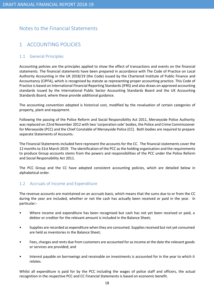# Notes to the Financial Statements

# 1 ACCOUNTING POLICIES

# 1.1 General Principles

Accounting policies are the principles applied to show the effect of transactions and events on the financial statements. The financial statements have been prepared in accordance with The Code of Practice on Local Authority Accounting in the UK 2018/19 (the Code) issued by the Chartered Institute of Public Finance and Accountancy (CIPFA), which is recognised by statute as representing proper accounting practice. This Code of Practice is based on International Financial Reporting Standards (IFRS) and also draws on approved accounting standards issued by the International Public Sector Accounting Standards Board and the UK Accounting Standards Board, where these provide additional guidance.

The accounting convention adopted is historical cost, modified by the revaluation of certain categories of property, plant and equipment.

Following the passing of the Police Reform and Social Responsibility Act 2011, Merseyside Police Authority was replaced on 22nd November 2012 with two 'corporation sole' bodies, the Police and Crime Commissioner for Merseyside (PCC) and the Chief Constable of Merseyside Police (CC). Both bodies are required to prepare separate Statements of Accounts.

The Financial Statements included here represent the accounts for the CC. The financial statements cover the 12 months to 31st March 2019. The identification of the PCC as the holding organisation and the requirements to produce Group accounts stems from the powers and responsibilities of the PCC under the Police Reform and Social Responsibility Act 2011.

The PCC Group and the CC have adopted consistent accounting policies, which are detailed below in alphabetical order.

# 1.2 Accruals of Income and Expenditure

The revenue accounts are maintained on an accruals basis, which means that the sums due to or from the CC during the year are included, whether or not the cash has actually been received or paid in the year. In particular:-

- Where income and expenditure has been recognised but cash has not yet been received or paid, a debtor or creditor for the relevant amount is included in the Balance Sheet;
- Supplies are recorded as expenditure when they are consumed. Supplies received but not yet consumed are held as inventories in the Balance Sheet;
- Fees, charges and rents due from customers are accounted for as income at the date the relevant goods or services are provided; and
- Interest payable on borrowings and receivable on investments is accounted for in the year to which it relates.

Whilst all expenditure is paid for by the PCC including the wages of police staff and officers, the actual recognition in the respective PCC and CC Financial Statements is based on economic benefit.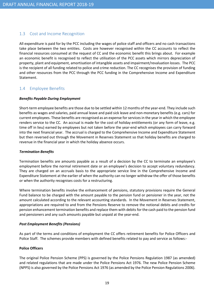# 1.3 Cost and Income Recognition

All expenditure is paid for by the PCC including the wages of police staff and officers and no cash transactions take place between the two entities. Costs are however recognised within the CC accounts to reflect the financial resources consumed at the request of CC and the economic benefit this brings about. For example an economic benefit is recognised to reflect the utilisation of the PCC assets which mirrors depreciation of property, plant and equipment, amortisation of intangible assets and impairment/revaluation losses. The PCC is the recipient of all funding related to police and crime reduction. The CC recognises the provision of funding and other resources from the PCC through the PCC funding in the Comprehensive Income and Expenditure Statement.

# 1.4 Employee Benefits

## Benefits Payable During Employment

Short-term employee benefits are those due to be settled within 12 months of the year-end. They include such benefits as wages and salaries, paid annual leave and paid sick leave and non-monetary benefits (e.g. cars) for current employees. These benefits are recognised as an expense for services in the year in which the employee renders service to the CC. An accrual is made for the cost of holiday entitlements (or any form of leave, e.g. time off in lieu) earned by employees but not taken before the year-end which employees can carry forward into the next financial year. The accrual is charged to the Comprehensive Income and Expenditure Statement but then reversed out through the Movement in Reserves Statement so that holiday benefits are charged to revenue in the financial year in which the holiday absence occurs.

## Termination Benefits

Termination benefits are amounts payable as a result of a decision by the CC to terminate an employee's employment before the normal retirement date or an employee's decision to accept voluntary redundancy. They are charged on an accruals basis to the appropriate service line in the Comprehensive Income and Expenditure Statement at the earlier of when the authority can no longer withdraw the offer of those benefits or when the authority recognises costs for a restructuring.

Where termination benefits involve the enhancement of pensions, statutory provisions require the General Fund balance to be charged with the amount payable to the pension fund or pensioner in the year, not the amount calculated according to the relevant accounting standards. In the Movement in Reserves Statement, appropriations are required to and from the Pensions Reserve to remove the notional debits and credits for pension enhancement termination benefits and replace them with debits for the cash paid to the pension fund and pensioners and any such amounts payable but unpaid at the year-end.

## Post Employment Benefits (Pensions)

As part of the terms and conditions of employment the CC offers retirement benefits for Police Officers and Police Staff. The schemes provide members with defined benefits related to pay and service as follows:-

## Police Officers

The original Police Pension Scheme (PPS) is governed by the Police Pensions Regulation 1987 (as amended) and related regulations that are made under the Police Pensions Act 1976. The new Police Pension Scheme (NPPS) is also governed by the Police Pensions Act 1976 (as amended by the Police Pension Regulations 2006).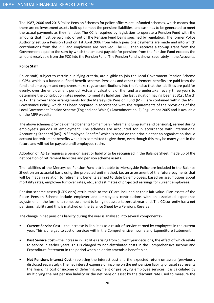The 1987, 2006 and 2015 Police Pension Schemes for police officers are unfunded schemes, which means that there are no investment assets built up to meet the pensions liabilities, and cash has to be generated to meet the actual payments as they fall due. The CC is required by legislation to operate a Pension Fund with the amounts that must be paid into or out of the Pension Fund being specified by regulation. The former Police Authority set up a Pension Fund on 1st April 2006 from which pensions payments are made and into which contributions from the PCC and employees are received. The PCC then receives a top-up grant from the Government equal to the sum by which the amount payable for pensions from the Pension Fund exceeds the amount receivable from the PCC into the Pension Fund. The Pension Fund is shown separately in the Accounts.

## Police Staff

Police staff, subject to certain qualifying criteria, are eligible to join the Local Government Pension Scheme (LGPS), which is a funded defined benefit scheme. Pensions and other retirement benefits are paid from the fund and employers and employees make regular contributions into the fund so that the liabilities are paid for evenly, over the employment period. Actuarial valuations of the fund are undertaken every three years to determine the contribution rates needed to meet its liabilities, the last valuation having been at 31st March 2017. The Governance arrangements for the Merseyside Pension Fund (MPF) are contained within the MPF Governance Policy, which has been prepared in accordance with the requirements of the provisions of the Local Government Pension Scheme (England and Wales) (Amendment no. 2) Regulations 2005 and is available on the MPF website.

The above schemes provide defined benefits to members (retirement lump sums and pensions), earned during employee's periods of employment. The schemes are accounted for in accordance with International Accounting Standard (IAS) 19 "Employee Benefits" which is based on the principle that an organisation should account for retirement benefits when it is committed to give them, even though this may be many years in the future and will not be payable until employees retire.

Adoption of IAS 19 requires a pension asset or liability to be recognised in the Balance Sheet, made up of the net position of retirement liabilities and pension scheme assets.

The liabilities of the Merseyside Pension Fund attributable to Merseyside Police are included in the Balance Sheet on an actuarial basis using the projected unit method, i.e. an assessment of the future payments that will be made in relation to retirement benefits earned to date by employees, based on assumptions about mortality rates, employee turnover rates, etc., and estimates of projected earnings for current employees.

Pension scheme assets (LGPS only) attributable to the CC are included at their fair value. Plan assets of the Police Pension Scheme include employer and employee's contributions with an associated experience adjustment in the form of a remeasurement to bring net assets to zero at year-end. The CC currently has a net pensions liability and this is matched on the Balance Sheet by a Pensions Reserve.

The change in net pensions liability during the year is analysed into several components:-

- Current Service Cost the increase in liabilities as a result of service earned by employees in the current year. This is charged to cost of services within the Comprehensive Income and Expenditure Statement;
- Past Service Cost the increase in liabilities arising from current year decisions, the effect of which relate to service in earlier years. This is charged to non-distributed costs in the Comprehensive Income and Expenditure Statement in the period when an entity amends a benefit plan;
- Net Pensions Interest Cost replacing the interest cost and the expected return on assets (previously disclosed separately). The net interest expense or income on the net pension liability or asset represents the financing cost or income of deferring payment or pre paying employee services. It is calculated by multiplying the net pension liability or the net pension asset by the discount rate used to measure the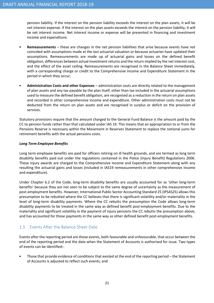pension liability. If the interest on the pension liability exceeds the interest on the plan assets, it will be net interest expense. If the interest on the plan assets exceeds the interest on the pension liability, it will be net interest income. Net interest income or expense will be presented in financing and investment income and expenditure;

- Remeasurements these are changes in the net pension liabilities that arise because events have not coincided with assumptions made at the last actuarial valuation or because actuaries have updated their assumptions. Remeasurements are made up of actuarial gains and losses on the defined benefit obligation, differences between actual investment returns and the return implied by the net interest cost, and the effect of the asset ceiling. Remeasurements are recognised in the Balance Sheet immediately, with a corresponding charge or credit to the Comprehensive Income and Expenditure Statement in the period in which they occur;
- Administration Costs and other Expenses administration costs are directly related to the management of plan assets and any tax payable by the plan itself, other than tax included in the actuarial assumptions used to measure the defined benefit obligation, are recognised as a reduction in the return on plan assets and recorded in other comprehensive income and expenditure. Other administration costs must not be deducted from the return on plan assets and are recognised in surplus or deficit on the provision of services.

Statutory provisions require that the amount charged to the General Fund Balance is the amount paid by the CC to pension funds rather than that calculated under IAS 19. This means that an appropriation to or from the Pensions Reserve is necessary within the Movement in Reserves Statement to replace the notional sums for retirement benefits with the actual pensions costs.

## Long Term Employee Benefits

Long term employee benefits are paid for officers retiring on ill health grounds, and are termed as long term disability benefits paid out under the regulations contained in the Police (Injury Benefit) Regulations 2006. These injury awards are charged to the Comprehensive Income and Expenditure Statement along with any resulting the actuarial gains and losses (included in IAS19 remeasurements in other comprehensive income and expenditure).

Under Chapter 6.2 of the Code, long-term disability benefits are usually accounted for as 'other long-term benefits' because they are not seen to be subject to the same degree of uncertainty as the measurement of post-employment benefits. However, International Public Sector Accounting Standard 25 (IPSAS25) allows this presumption to be rebutted where the CC believes that there is significant volatility and/or materiality in the level of long-term disability payments. Where the CC rebutts the presumption the Code allows long-term disability payments to be treated in the same way as defined benefit post-employment benefits. Due to the materiality and significant volatility in the payment of injury pensions the CC rebutts the presumption above, and has accounted for those payments in the same way as other defined benefit post-employment benefits.

# 1.5 Events After the Balance Sheet Date

Events after the reporting period are those events, both favourable and unfavourable, that occur between the end of the reporting period and the date when the Statement of Accounts is authorised for issue. Two types of events can be identified:-

Those that provide evidence of conditions that existed at the end of the reporting period – the Statement of Accounts is adjusted to reflect such events; and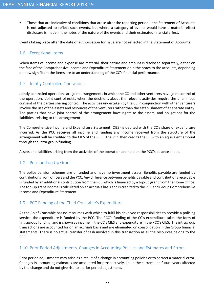• Those that are indicative of conditions that arose after the reporting period – the Statement of Accounts is not adjusted to reflect such events, but where a category of events would have a material effect disclosure is made in the notes of the nature of the events and their estimated financial effect.

Events taking place after the date of authorisation for issue are not reflected in the Statement of Accounts.

# 1.6 Exceptional Items

When items of income and expense are material, their nature and amount is disclosed separately, either on the face of the Comprehensive Income and Expenditure Statement or in the notes to the accounts, depending on how significant the items are to an understanding of the CC's financial performance.

# 1.7 Jointly Controlled Operations

Jointly controlled operations are joint arrangements in which the CC and other venturers have joint control of the operation. Joint control exists when the decisions about the relevant activities require the unanimous consent of the parties sharing control. The activities undertaken by the CC in conjunction with other venturers involve the use of the assets and resources of the venturers rather than the establishment of a separate entity. The parties that have joint control of the arrangement have rights to the assets, and obligations for the liabilities, relating to the arrangement.

The Comprehensive Income and Expenditure Statement (CIES) is debited with the CC's share of expenditure incurred. As the PCC receives all income and funding any income received from the structure of the arrangement will be credited to the CIES of the PCC. The PCC then credits the CC with an equivalent amount through the intra-group funding.

Assets and liabilities arising from the activities of the operation are held on the PCC's balance sheet.

# 1.8 Pension Top Up Grant

The police pension schemes are unfunded and have no investment assets. Benefits payable are funded by contributions from officers and the PCC. Any difference between benefits payable and contributions receivable is funded by an additional contribution from the PCC which is financed by a top-up grant from the Home Office. The top-up grant income is calculated on an accruals basis and is credited to the PCC and Group Comprehensive Income and Expenditure Statement.

# 1.9 PCC Funding of the Chief Constable's Expenditure

As the Chief Constable has no resources with which to fulfil his devolved responsibilities to provide a policing service, the expenditure is funded by the PCC. The PCC's funding of the CC's expenditure takes the form of 'intragroup funding' and is shown as income in the CC's CIES and expenditure in the PCC's CIES. The intragroup transactions are accounted for on an accruals basis and are eliminated on consolidation in the Group financial statements. There is no actual transfer of cash involved in this transaction as all the resources belong to the PCC.

# 1.10 Prior Period Adjustments, Changes in Accounting Policies and Estimates and Errors

Prior period adjustments may arise as a result of a change in accounting policies or to correct a material error. Changes in accounting estimates are accounted for prospectively, i.e. in the current and future years affected by the change and do not give rise to a prior period adjustment.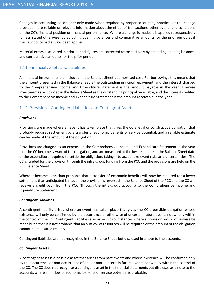Changes in accounting policies are only made when required by proper accounting practices or the change provides more reliable or relevant information about the effect of transactions, other events and conditions on the CC's financial position or financial performance. Where a change is made, it is applied retrospectively (unless stated otherwise) by adjusting opening balances and comparative amounts for the prior period as if the new policy had always been applied.

Material errors discovered in prior period figures are corrected retrospectively by amending opening balances and comparative amounts for the prior period.

# 1.11 Financial Assets and Liabilities

All financial instruments are included in the Balance Sheet at amortised cost. For borrowings this means that the amount presented in the Balance Sheet is the outstanding principal repayment, and the interest charged to the Comprehensive Income and Expenditure Statement is the amount payable in the year. Likewise investments are included in the Balance Sheet as the outstanding principal receivable, and the interest credited to the Comprehensive Income and Expenditure Statement is the amount receivable in the year.

# 1.12 Provisions, Contingent Liabilities and Contingent Assets

## Provisions

Provisions are made where an event has taken place that gives the CC a legal or constructive obligation that probably requires settlement by a transfer of economic benefits or service potential, and a reliable estimate can be made of the amount of the obligation.

Provisions are charged as an expense in the Comprehensive Income and Expenditure Statement in the year that the CC becomes aware of the obligation, and are measured at the best estimate at the Balance Sheet date of the expenditure required to settle the obligation, taking into account relevant risks and uncertainties. The CC is funded for the provision through the intra-group funding from the PCC and the provisions are held on the PCC Balance Sheet.

Where it becomes less than probable that a transfer of economic benefits will now be required (or a lower settlement than anticipated is made), the provision is reversed in the Balance Sheet of the PCC and the CC will receive a credit back from the PCC (through the intra-group account) to the Comprehensive Income and Expenditure Statement.

## Contingent Liabilities

A contingent liability arises where an event has taken place that gives the CC a possible obligation whose existence will only be confirmed by the occurrence or otherwise of uncertain future events not wholly within the control of the CC. Contingent liabilities also arise in circumstances where a provision would otherwise be made but either it is not probable that an outflow of resources will be required or the amount of the obligation cannot be measured reliably.

Contingent liabilities are not recognised in the Balance Sheet but disclosed in a note to the accounts.

## Contingent Assets

A contingent asset is a possible asset that arises from past events and whose existence will be confirmed only by the occurrence or non-occurrence of one or more uncertain future events not wholly within the control of the CC. The CC does not recognise a contingent asset in the financial statements but discloses as a note to the accounts where an inflow of economic benefits or service potential is probable.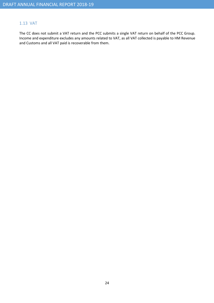# 1.13 VAT

The CC does not submit a VAT return and the PCC submits a single VAT return on behalf of the PCC Group. Income and expenditure excludes any amounts related to VAT, as all VAT collected is payable to HM Revenue and Customs and all VAT paid is recoverable from them.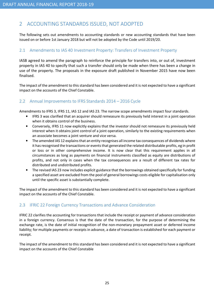# 2 ACCOUNTING STANDARDS ISSUED, NOT ADOPTED

The following sets out amendments to accounting standards or new accounting standards that have been issued on or before 1st January 2018 but will not be adopted by the Code until 2019/20.

# 2.1 Amendments to IAS 40 Investment Property: Transfers of Investment Property

IASB agreed to amend the paragraph to reinforce the principle for transfers into, or out of, investment property in IAS 40 to specify that such a transfer should only be made when there has been a change in use of the property. The proposals in the exposure draft published in November 2015 have now been finalised.

The impact of the amendment to this standard has been considered and it is not expected to have a significant impact on the accounts of the Chief Constable.

# 2.2 Annual Improvements to IFRS Standards 2014 – 2016 Cycle

Amendments to IFRS 3, IFRS 11, IAS 12 and IAS 23. The narrow scope amendments impact four standards.

- IFRS 3 was clarified that an acquirer should remeasure its previously held interest in a joint operation when it obtains control of the business.
- Conversely, IFRS 11 now explicitly explains that the investor should not remeasure its previously held interest when it obtains joint control of a joint operation, similarly to the existing requirements when an associate becomes a joint venture and vice versa.
- The amended IAS 12 explains that an entity recognises all income tax consequences of dividends where it has recognised the transactions or events that generated the related distributable profits, eg in profit or loss or in other comprehensive income. It is now clear that this requirement applies in all circumstances as long as payments on financial instruments classified as equity are distributions of profits, and not only in cases when the tax consequences are a result of different tax rates for distributed and undistributed profits.
- The revised IAS 23 now includes explicit guidance that the borrowings obtained specifically for funding a specified asset are excluded from the pool of general borrowings costs eligible for capitalisation only until the specific asset is substantially complete.

The impact of the amendment to this standard has been considered and it is not expected to have a significant impact on the accounts of the Chief Constable.

# 2.3 IFRIC 22 Foreign Currency Transactions and Advance Consideration

IFRIC 22 clarifies the accounting for transactions that include the receipt or payment of advance consideration in a foreign currency. Consensus is that the date of the transaction, for the purpose of determining the exchange rate, is the date of initial recognition of the non-monetary prepayment asset or deferred income liability; for multiple payments or receipts in advance, a date of transaction is established for each payment or receipt.

The impact of the amendment to this standard has been considered and it is not expected to have a significant impact on the accounts of the Chief Constable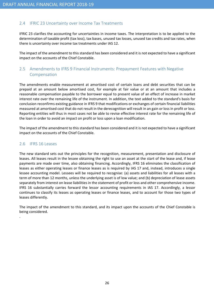# 2.4 IFRIC 23 Uncertainty over Income Tax Treatments

IFRIC 23 clarifies the accounting for uncertainties in income taxes. The interpretation is to be applied to the determination of taxable profit (tax loss), tax bases, unused tax losses, unused tax credits and tax rates, when there is uncertainty over income tax treatments under IAS 12.

The impact of the amendment to this standard has been considered and it is not expected to have a significant impact on the accounts of the Chief Constable.

# 2.5 Amendments to IFRS 9 Financial Instruments: Prepayment Features with Negative Compensation

The amendments enable measurement at amortised cost of certain loans and debt securities that can be prepaid at an amount below amortised cost, for example at fair value or at an amount that includes a reasonable compensation payable to the borrower equal to present value of an effect of increase in market interest rate over the remaining life of the instrument. In addition, the text added to the standard's basis for conclusion reconfirms existing guidance in IFRS 9 that modifications or exchanges of certain financial liabilities measured at amortised cost that do not result in the derecognition will result in an gain or loss in profit or loss. Reporting entities will thus in most cases not be able to revise effective interest rate for the remaining life of the loan in order to avoid an impact on profit or loss upon a loan modification.

The impact of the amendment to this standard has been considered and it is not expected to have a significant impact on the accounts of the Chief Constable.

# 2.6 IFRS 16 Leases

.

The new standard sets out the principles for the recognition, measurement, presentation and disclosure of leases. All leases result in the lessee obtaining the right to use an asset at the start of the lease and, if lease payments are made over time, also obtaining financing. Accordingly, IFRS 16 eliminates the classification of leases as either operating leases or finance leases as is required by IAS 17 and, instead, introduces a single lessee accounting model. Lessees will be required to recognise: (a) assets and liabilities for all leases with a term of more than 12 months, unless the underlying asset is of low value; and (b) depreciation of lease assets separately from interest on lease liabilities in the statement of profit or loss and other comprehensive income. IFRS 16 substantially carries forward the lessor accounting requirements in IAS 17. Accordingly, a lessor continues to classify its leases as operating leases or finance leases, and to account for those two types of leases differently.

The impact of the amendment to this standard, and its impact upon the accounts of the Chief Constable is being considered.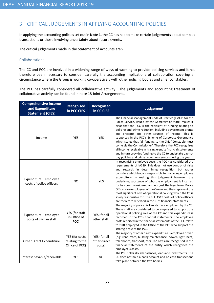# 3 CRITICAL JUDGEMENTS IN APPLYING ACCOUNTING POLICIES

In applying the accounting policies set out in Note 1, the CC has had to make certain judgements about complex transactions or those involving uncertainty about future events.

The critical judgements made in the Statement of Accounts are:-

## Collaborations

The CC and PCC are involved in a widening range of ways of working to provide policing services and it has therefore been necessary to consider carefully the accounting implications of collaboration covering all circumstance where the Group is working co-operatively with other policing bodies and chief constables.

The PCC has carefully considered all collaborative activity. The judgements and accounting treatment of collaborative activity can be found in note 18 Joint Arrangements.

| <b>Comprehensive Income</b><br>and Expenditure<br><b>Statement (CIES)</b> | <b>Recognised</b><br>in PCC CIES                    | <b>Recognised</b><br>in CC CIES        | <b>Judgement</b>                                                                                                                                                                                                                                                                                                                                                                                                                                                                                                                                                                                                                                                                          |
|---------------------------------------------------------------------------|-----------------------------------------------------|----------------------------------------|-------------------------------------------------------------------------------------------------------------------------------------------------------------------------------------------------------------------------------------------------------------------------------------------------------------------------------------------------------------------------------------------------------------------------------------------------------------------------------------------------------------------------------------------------------------------------------------------------------------------------------------------------------------------------------------------|
| Income                                                                    | <b>YES</b>                                          | <b>YES</b>                             | The Financial Management Code of Practice (FMCP) for the<br>Police Service, issued by the Secretary of State, makes it<br>clear that the PCC is the recipient of funding relating to<br>policing and crime reduction, including government grants<br>and precepts and other sources of income. This is<br>supported in the PCC's Scheme of Corporate Governance<br>which states that 'all funding to the Chief Constable must<br>come via the Commissioner'. Therefore the PCC recognises<br>all income receivable in its single entity financial statements<br>and in turn provides funding to the CC to undertake day-to-<br>day policing and crime reduction services during the year. |
| Expenditure - employee<br>costs of police officers                        | <b>NO</b>                                           | <b>YES</b>                             | In recognising employee costs the PCC has considered the<br>requirements of IAS19. This does not use control of risks<br>and rewards in determining recognition but rather<br>considers which body is responsible for incurring employee<br>expenditure. In making this judgement however, the<br>underlying substance of who the employment is incurred<br>for has been considered and not just the legal form. Police<br>Officers are employees of the Crown and they represent the<br>most significant cost of operational policing which the CC is<br>solely responsible for. The full IAS19 costs of police officers<br>are therefore reflected in the CC's financial statements.    |
| Expenditure - employee<br>costs of civilian staff                         | YES (for staff<br>in Office of<br>PCC)              | YES (for all<br>other staff)           | The majority of police civilian staff are employed by the CC.<br>These staff are considered to be employed to support the<br>operational policing role of the CC and this expenditure is<br>recorded in the CC's financial statements. The employee<br>costs reported in the financial statements of the PCC relate<br>to staff employed in the Office of the PCC who support the<br>strategic role of the PCC.                                                                                                                                                                                                                                                                           |
| <b>Other Direct Expenditure</b>                                           | YES (for costs<br>relating to the<br>Office of PCC) | YES (for all<br>other direct<br>costs) | The majority of other direct expenditure is employee driven<br>(e.g. rent, rates, building maintenance, power, light, heat,<br>telephones, transport, etc). The costs are recognised in the<br>financial statements of the entity which recognises the<br>employee's costs.                                                                                                                                                                                                                                                                                                                                                                                                               |
| Interest payable/receivable                                               | YES                                                 | <b>NO</b>                              | The PCC holds all cash balances, loans and investments. The<br>CC does not hold a bank account and no cash transactions<br>take place between the two bodies.                                                                                                                                                                                                                                                                                                                                                                                                                                                                                                                             |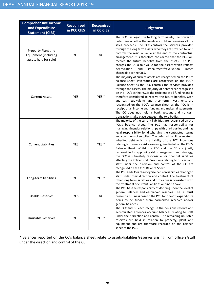| <b>Comprehensive Income</b><br>and Expenditure<br><b>Statement (CIES)</b> | Recognised<br>in PCC CIES | Recognised<br>in CC CIES | <b>Judgement</b>                                                                                                                                                                                                                                                                                                                                                                                                                                                                                                                                                                                                                                                                                                                                                                                          |
|---------------------------------------------------------------------------|---------------------------|--------------------------|-----------------------------------------------------------------------------------------------------------------------------------------------------------------------------------------------------------------------------------------------------------------------------------------------------------------------------------------------------------------------------------------------------------------------------------------------------------------------------------------------------------------------------------------------------------------------------------------------------------------------------------------------------------------------------------------------------------------------------------------------------------------------------------------------------------|
| Property Plant and<br>Equipment (including<br>assets held for sale)       | YES                       | <b>NO</b>                | The PCC has legal title to long term assets, the power to<br>determine whether the assets are sold and receives all the<br>sales proceeds. The PCC controls the services provided<br>through the long term assets, who they are provided to, and<br>controls the residual value at the end of the contractual<br>arrangement. It is therefore considered that the PCC will<br>receive the future benefits from the assets. The PCC<br>charges the CC a fair value for the assets which reflects<br>impairment/revaluation<br>depreciation<br>and<br>losses<br>chargeable to the CIES.                                                                                                                                                                                                                     |
| <b>Current Assets</b>                                                     | <b>YES</b>                | YES <sup>*</sup>         | The majority of current assets are recognised on the PCC's<br>balance sheet. Inventories are recognised on the PCC's<br>Balance Sheet as the PCC controls the services provided<br>through the assets. The majority of debtors are recognised<br>on the PCC's as the PCC is the recipient of all funding and is<br>therefore considered to receive the future benefits. Cash<br>and cash equivalents and short-term investments are<br>recognised on the PCC's balance sheet as the PCC is in<br>receipt of all income and funding and makes all payments.<br>The CC does not hold a bank account and no cash<br>transactions take place between the two bodies.                                                                                                                                          |
| <b>Current Liabilities</b>                                                | <b>YES</b>                | YES <sup>*</sup>         | The majority of the current liabilities are recognised on the<br>PCC's balance sheet. The PCC has responsibility for<br>managing financial relationships with third parties and has<br>legal responsibility for discharging the contractual terms<br>and conditions of suppliers. The deferred liabilities relate to<br>inherited debt which is a liability of the PCC. Provisions<br>relating to insurance risks are recognised in full on the PCC's<br>Balance Sheet. Whilst the PCC and the CC are jointly<br>responsible for approving risk management and strategy,<br>the PCC is ultimately responsible for financial liabilities<br>affecting the Police Fund. Provisions relating to officers and<br>staff under the direction and control of the CC are<br>recognised on the CC's Balance Sheet. |
| Long-term liabilities                                                     | YES                       | YES <sup>*</sup>         | The PCC and CC each recognise pension liabilities relating to<br>staff under their direction and control. The treatment of<br>other long term liabilities and provisions is consistent with<br>the treatment of current liabilities outlined above.                                                                                                                                                                                                                                                                                                                                                                                                                                                                                                                                                       |
| <b>Usable Reserves</b>                                                    | <b>YES</b>                | NO.                      | The PCC has the responsibility of deciding upon the level of<br>general balances and earmarked reserves. The CC must<br>present a business case to the PCC for one-off expenditure<br>items to be funded from earmarked reserves and/or<br>general balances.                                                                                                                                                                                                                                                                                                                                                                                                                                                                                                                                              |
| <b>Unusable Reserves</b>                                                  | <b>YES</b>                | YES <sup>*</sup>         | The PCC and CC each recognise the pensions reserve and<br>accumulated absences account balances relating to staff<br>under their direction and control. The remaining unusable<br>reserves are held in relation to property, plant and<br>equipment and are therefore recorded on the balance<br>sheet of the PCC.                                                                                                                                                                                                                                                                                                                                                                                                                                                                                        |

\* Balances reported on the CC's balance sheet relate to assets/liabilities/reserves arising from officers/staff under the direction and control of the CC.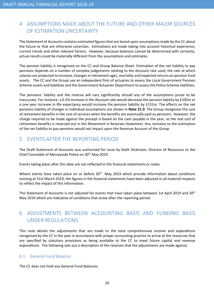# 4 ASSUMPTIONS MADE ABOUT THE FUTURE AND OTHER MAJOR SOURCES OF ESTIMATION UNCERTAINTY

The Statement of Accounts contains estimated figures that are based upon assumptions made by the CC about the future or that are otherwise uncertain. Estimations are made taking into account historical experience, current trends and other relevant factors. However, because balances cannot be determined with certainty, actual results could be materially different from the assumptions and estimates.

The pension liability is recognised on the CC and Group Balance Sheet. Estimation of the net liability to pay pensions depends on a number of complex judgements relating to the discount rate used, the rate at which salaries are projected to increase, changes in retirement ages, mortality and expected returns on pension fund assets. The CC and the Group use an independent firm of actuaries to assess the Local Government Pension Scheme assets and liabilities and the Government Actuaries Department to assess the Police Scheme liabilities.

The pensions' liability and the reserve will vary significantly should any of the assumptions prove to be inaccurate. For instance, a 0.1% increase in the discount rate would decrease the pension liability by £105m or a one year increase in life expectancy would increase the pension liability by £131m. The effects on the net pensions liability of changes in individual assumptions are shown in Note 21.9. The Group recognises the cost of retirement benefits in the cost of services when the benefits are eventually paid as pensions. However, the charge required to be made against the precept is based on the cash payable in the year, so the real cost of retirement benefits is reversed out in the Movement in Reserves Statement. Any revisions to the estimation of the net liability to pay pensions would not impact upon the Revenue Account of the Group.

# 5 EVENTS AFTER THE REPORTING PERIOD

The Draft Statement of Accounts was authorised for issue by Keith Dickinson, Director of Resources to the Chief Constable of Merseyside Police on 30th May 2019.

Events taking place after this date are not reflected in the financial statements or notes.

Where events have taken place on or before 30<sup>th</sup> May 2019 which provide information about conditions existing at 31st March 2019, the figures in the financial statements have been adjusted in all material respects to reflect the impact of this information.

The Statement of Accounts is not adjusted for events that have taken place between 1st April 2019 and 30<sup>th</sup> May 2019 which are indicative of conditions that arose after the reporting period.

# 6 ADJUSTMENTS BETWEEN ACCOUNTING BASIS AND FUNDING BASIS UNDER REGULATIONS

This note details the adjustments that are made to the total comprehensive income and expenditure recognised by the CC in the year in accordance with proper accounting practice to arrive at the resources that are specified by statutory provisions as being available to the CC to meet future capital and revenue expenditure. The following sets out a description of the reserves that the adjustments are made against.

# 6.1 General Fund Balance

The CC does not hold any General Fund Balances.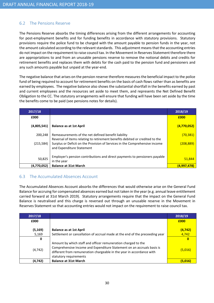# 6.2 The Pensions Reserve

The Pensions Reserve absorbs the timing differences arising from the different arrangements for accounting for post-employment benefits and for funding benefits in accordance with statutory provisions. Statutory provisions require the police fund to be charged with the amount payable to pension funds in the year, not the amount calculated according to the relevant standards. This adjustment means that the accounting entries do not impact on the requirement to raise council tax. In the Movement in Reserves Statement therefore there are appropriations to and from an unusable pensions reserve to remove the notional debits and credits for retirement benefits and replaces them with debits for the cash paid to the pension fund and pensioners and any such amounts payable but unpaid at the year-end.

The negative balance that arises on the pension reserve therefore measures the beneficial impact to the police fund of being required to account for retirement benefits on the basis of cash flows rather than as benefits are earned by employees. The negative balance also shows the substantial shortfall in the benefits earned by past and current employees and the resources set aside to meet them, and represents the Net Defined Benefit Obligation to the CC. The statutory arrangements will ensure that funding will have been set aside by the time the benefits come to be paid (see pensions notes for details).

| 2017/18     |                                                                                                                                                                                          | 2018/19     |
|-------------|------------------------------------------------------------------------------------------------------------------------------------------------------------------------------------------|-------------|
| £000        |                                                                                                                                                                                          | £000        |
| (4,805,541) | <b>Balance as at 1st April</b>                                                                                                                                                           | (4,770,052) |
| 200,248     | Remeasurements of the net defined benefit liability                                                                                                                                      | (70, 381)   |
| (215, 584)  | Reversal of items relating to retirement benefits debited or credited to the<br>Surplus or Deficit on the Provision of Services in the Comprehensive income<br>and Expenditure Statement | (208, 889)  |
| 50,825      | Employer's pension contributions and direct payments to pensioners payable<br>in the year                                                                                                | 51,844      |
| (4,770,052) | <b>Balance at 31st March</b>                                                                                                                                                             | (4,997,478) |

# 6.3 The Accumulated Absences Account

The Accumulated Absences Account absorbs the differences that would otherwise arise on the General Fund Balance for accruing for compensated absences earned but not taken in the year (e.g. annual leave entitlement carried forward at 31st March 2019). Statutory arrangements require that the impact on the General Fund Balance is neutralised and this charge is reversed out through an unusable reserve in the Movement in Reserves Statement so that accounting entries would not impact on the requirement to raise council tax.

| 2017/18  |                                                                                                                                                                                                                                            | 2018/19  |
|----------|--------------------------------------------------------------------------------------------------------------------------------------------------------------------------------------------------------------------------------------------|----------|
| £000     |                                                                                                                                                                                                                                            | £000     |
| (5, 169) | <b>Balance as at 1st April</b>                                                                                                                                                                                                             | (4, 742) |
| 5,169    | Settlement or cancellation of accrual made at the end of the preceeding year                                                                                                                                                               | 4,742    |
| 0        |                                                                                                                                                                                                                                            | 0        |
| (4, 742) | Amount by which staff and officer remuneration charged to the<br>Comprehensive Income and Expenditure Statement on an accruals basis is<br>different from remuneration chargeable in the year in accordance with<br>statutory requirements | (5,016)  |
| (4,742)  | <b>Balance at 31st March</b>                                                                                                                                                                                                               | (5.016)  |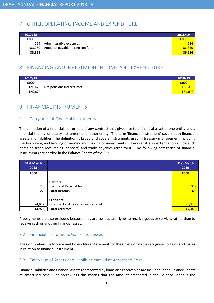# 7 OTHER OPERATING INCOME AND EXPENDITURE

| 2017/18 |                                 | 2018/19 |
|---------|---------------------------------|---------|
| £000    |                                 | £000    |
| 264     | Administrative expenses         | 284     |
| 83,260  | Amounts payable to pension fund | 86,340  |
| 83,524  |                                 | 86,624  |

# 8 FINANCING AND INVESTMENT INCOME AND EXPENDITURE

| 2017/18 |                            | 2018/19 |
|---------|----------------------------|---------|
| £000    |                            | £000    |
| 126,425 | Net pensions interest cost | 121,002 |
| 126,425 |                            | 121,002 |

# 9 FINANCIAL INSTRUMENTS

# 9.1 Categories of Financial Instruments

The definition of a financial instrument is 'any contract that gives rise to a financial asset of one entity and a financial liability, or equity instrument of another entity'. The term 'financial instrument' covers both financial assets and liabilities. The definition is broad and covers instruments used in treasury management including the borrowing and lending of money and making of investments. However it also extends to include such items as trade receivables (debtors) and trade payables (creditors). The following categories of financial instruments are carried in the Balance Sheets of the CC:-

| <b>31st March</b><br>2018 |                                         | <b>31st March</b><br>2019 |
|---------------------------|-----------------------------------------|---------------------------|
| £000                      |                                         | £000                      |
|                           |                                         |                           |
|                           | <b>Debtors</b>                          |                           |
| 228                       | Loans and Receivables                   | 329                       |
| 228                       | <b>Total Debtors</b>                    | 329                       |
|                           |                                         |                           |
|                           | <b>Creditors</b>                        |                           |
| (4, 972)                  | Financial liabilities at amortised cost | (5, 345)                  |
| (4, 972)                  | <b>Total Creditors</b>                  | (5, 345)                  |

Prepayments are also excluded because they are contractual rights to receive goods or services rather than to receive cash or another financial asset.

# 9.2 Financial Instruments Gains and Losses

The Comprehensive Income and Expenditure Statements of the Chief Constable recognise no gains and losses in relation to financial instrument.

# 9.3 Fair Value of Assets and Liabilities carried at Amortised Cost

Financial liabilities and financial assets represented by loans and receivables are included in the Balance Sheets at amortised cost. For borrowings this means that the amount presented in the Balance Sheet is the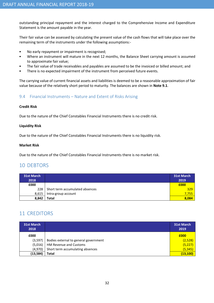outstanding principal repayment and the interest charged to the Comprehensive Income and Expenditure Statement is the amount payable in the year.

Their fair value can be assessed by calculating the present value of the cash flows that will take place over the remaining term of the instruments under the following assumptions:-

- No early repayment or impairment is recognised;
- Where an instrument will mature in the next 12 months, the Balance Sheet carrying amount is assumed to approximate fair value;
- The fair value of trade receivables and payables are assumed to be the invoiced or billed amount; and
- There is no expected impairment of the instrument from perceived future events.

The carrying value of current financial assets and liabilities is deemed to be a reasonable approximation of fair value because of the relatively short period to maturity. The balances are shown in Note 9.1.

# 9.4 Financial Instruments – Nature and Extent of Risks Arising

## Credit Risk

Due to the nature of the Chief Constables Financial Instruments there is no credit risk.

## Liquidity Risk

Due to the nature of the Chief Constables Financial Instruments there is no liquidity risk.

#### Market Risk

Due to the nature of the Chief Constables Financial Instruments there is no market risk.

# 10 DEBTORS

| <b>31st March</b> |                                 | <b>31st March</b> |
|-------------------|---------------------------------|-------------------|
| 2018              |                                 | 2019              |
| £000              |                                 | £000              |
| 228 l             | Short term accumulated absences | 329               |
| 8,615             | Intra-group account             | 7,755             |
| 8,842             | Total                           | 8,084             |

# 11 CREDITORS

| <b>31st March</b><br>2018 |                                       | <b>31st March</b><br>2019 |
|---------------------------|---------------------------------------|---------------------------|
| £000                      |                                       | £000                      |
| (3, 597)                  | Bodies external to general government | (2,528)                   |
| (5,016)                   | HM Revenue and Customs                | (5, 227)                  |
| (4,970)                   | Short term accumulating absences      | (5, 345)                  |
| (13, 584)                 | Total                                 | (13, 100)                 |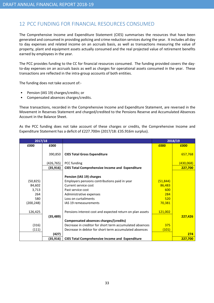# 12 PCC FUNDING FOR FINANCIAL RESOURCES CONSUMED

The Comprehensive Income and Expenditure Statement (CIES) summarises the resources that have been generated and consumed in providing policing and crime reduction services during the year. It includes all day to day expenses and related income on an accruals basis, as well as transactions measuring the value of property, plant and equipment assets actually consumed and the real projected value of retirement benefits earned by employees in the year.

The PCC provides funding to the CC for financial resources consumed. The funding provided covers the dayto-day expenses on an accruals basis as well as charges for operational assets consumed in the year. These transactions are reflected in the intra-group accounts of both entities.

The funding does not take account of:-

- Pension (IAS 19) charges/credits; or
- Compensated absences charges/credits.

These transactions, recorded in the Comprehensive Income and Expenditure Statement, are reversed in the Movement in Reserves Statement and charged/credited to the Pensions Reserve and Accumulated Absences Account in the Balance Sheet.

As the PCC funding does not take account of these charges or credits, the Comprehensive Income and Expenditure Statement has a deficit of £227.700m (2017/18: £35.916m surplus).

| 2017/18    |            |                                                           |           | 2018/19   |
|------------|------------|-----------------------------------------------------------|-----------|-----------|
| £000       | £000       |                                                           | £000      | £000      |
|            |            |                                                           |           |           |
|            | 390,850    | <b>CIES Total Gross Expenditure</b>                       |           | 657,768   |
|            | (426, 765) | PCC funding                                               |           | (430,068) |
|            | (35, 916)  | <b>CIES Total Comprehensive Income and Expenditure</b>    |           | 227,700   |
|            |            |                                                           |           |           |
|            |            | Pension (IAS 19) charges                                  |           |           |
| (50, 825)  |            | Employers pensions contributions paid in year             | (51, 844) |           |
| 84,602     |            | Current service cost                                      | 86,483    |           |
| 3,713      |            | Past service cost                                         | 600       |           |
| 264        |            | Administrative expenses                                   | 284       |           |
| 580        |            | Loss on curtailments                                      | 520       |           |
| (200, 248) |            | IAS 19 remeasurements                                     | 70,381    |           |
|            |            |                                                           |           |           |
| 126,425    |            | Pensions interest cost and expected return on plan assets | 121,002   |           |
|            | (35, 489)  |                                                           |           | 227,426   |
|            |            | Compensated absences charges/(credits)                    |           |           |
| (316)      |            | Decrease in creditor for short term accumulated absences  | 375       |           |
| (111)      |            | Decrease in debtor for short term accumulated absences    | (101)     |           |
|            | (427)      |                                                           |           | 274       |
|            | (35, 916)  | <b>CIES Total Comprehensive Income and Expenditure</b>    |           | 227,700   |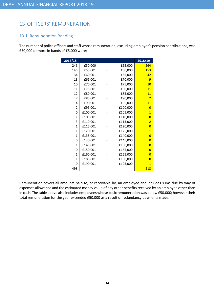# 13 OFFICERS' REMUNERATION

# 13.1 Remuneration Banding

The number of police officers and staff whose remuneration, excluding employer's pension contributions, was £50,000 or more in bands of £5,000 were:

| 2017/18        |          |          | 2018/19        |
|----------------|----------|----------|----------------|
| 249            | £50,000  | £55,000  | 264            |
| 146            | £55,001  | £60,000  | 153            |
| 34             | £60,001  | £65,000  | 42             |
| 13             | £65,001  | £70,000  | 9              |
| 10             | £70,001  | £75,000  | 10             |
| 11             | £75,001  | £80,000  | 11             |
| 12             | £80,001  | £85,000  | 11             |
| $\overline{7}$ | £85,001  | £90,000  | $\overline{2}$ |
| 4              | £90,001  | £95,000  | 11             |
| $\overline{2}$ | £95,001  | £100,000 | $\overline{0}$ |
| 0              | £100,001 | £105,000 | $\overline{1}$ |
| $\mathbf{1}$   | £105,001 | £110,000 | $\overline{0}$ |
| 3              | £110,001 | £115,000 | $\overline{2}$ |
| 1              | £115,001 | £120,000 | $\overline{0}$ |
| $\mathbf{1}$   | £120,001 | £125,000 | $\overline{1}$ |
| 1              | £135,001 | £140,000 | $\overline{0}$ |
| 0              | £140,001 | £145,000 | 0              |
| $\mathbf{1}$   | £145,001 | £150,000 | $\overline{0}$ |
| 0              | £150,001 | £155,000 | 0              |
| $\mathbf{1}$   | £160,001 | £165,000 | $\overline{0}$ |
| $\mathbf{1}$   | £185,001 | £190,000 | $\overline{0}$ |
| 0              | £190,001 | £195,000 | $\overline{1}$ |
| 498            |          |          | 518            |

Remuneration covers all amounts paid to, or receivable by, an employee and includes sums due by way of expenses allowance and the estimated money value of any other benefits received by an employee other than in cash. The table above also includes employees whose basic remuneration was below £50,000; however their total remuneration for the year exceeded £50,000 as a result of redundancy payments made.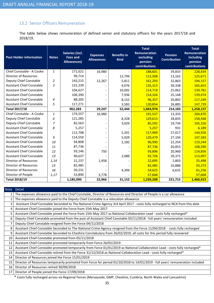# 13.2 Senior Officers Remuneration

The table below shows remuneration of defined senior and statutory officers for the years 2017/18 and 2018/19.

| <b>Post Holder information</b>   | <b>Notes</b>   | <b>Salaries (incl.</b><br><b>Fees and</b><br><b>Allowances</b> ) | <b>Expenses</b><br><b>Allowances</b> | <b>Benefits in</b><br><b>Kind</b> | <b>Total</b><br><b>Remuneration</b><br>excluding<br>pension<br>contributions | <b>Pension</b><br><b>Contribution</b> | <b>Total</b><br><b>Remuneration</b><br>including<br>pension<br>contributions |
|----------------------------------|----------------|------------------------------------------------------------------|--------------------------------------|-----------------------------------|------------------------------------------------------------------------------|---------------------------------------|------------------------------------------------------------------------------|
| Chief Constable - A Cooke        | $\mathbf{1}$   | 171,621                                                          | 16,980                               |                                   | 188,601                                                                      | 39,833                                | 228,434                                                                      |
| <b>Director of Resources</b>     |                | 99,714                                                           |                                      | 12,794                            | 112,508                                                                      | 13,162                                | 125,671                                                                      |
| Deputy Chief Constable           | $\overline{2}$ | 143,215                                                          | 12,267                               | 5,811                             | 161,293                                                                      | 32,863                                | 194,157                                                                      |
| <b>Assistant Chief Constable</b> | 3              | 131,239                                                          |                                      | 4,076                             | 135,315                                                                      | 30,338                                | 165,653                                                                      |
| <b>Assistant Chief Constable</b> |                | 104,627                                                          |                                      | 10,092                            | 114,719                                                                      | 25,062                                | 139,781                                                                      |
| <b>Assistant Chief Constable</b> |                | 106,390                                                          |                                      | 7,936                             | 114,326                                                                      | 25,148                                | 139,474                                                                      |
| <b>Assistant Chief Constable</b> | 4              | 88,205                                                           |                                      | 8,152                             | 96,357                                                                       | 20,892                                | 117,249                                                                      |
| <b>Assistant Chief Constable</b> | 5              | 117,271                                                          |                                      | 3,583                             | 120,854                                                                      | 26,885                                | 147,739                                                                      |
| <b>Total 2017/18</b>             |                | 962,283                                                          | 29,247                               | 52,444                            | 1,043,974                                                                    | 214,183                               | 1,258,157                                                                    |
| Chief Constable - A Cooke        | $\mathbf{1}$   | 174,557                                                          | 16,980                               |                                   | 191,537                                                                      | 13,333                                | 204,870                                                                      |
| Deputy Chief Constable           | 6              | 121,285                                                          |                                      | 8,328                             | 129,613                                                                      | 28,835                                | 158,448                                                                      |
| Deputy Chief Constable           | 7              | 82,563                                                           |                                      | 3,029                             | 85,592                                                                       | 19,734                                | 105,326                                                                      |
| <b>Assistant Chief Constable</b> | 8              | 5,257                                                            |                                      |                                   | 5,257                                                                        | 931                                   | 6,189                                                                        |
| <b>Assistant Chief Constable</b> |                | 112,708                                                          |                                      | 5,201                             | 117,909                                                                      | 27,017                                | 144,926                                                                      |
| <b>Assistant Chief Constable</b> | 9              | 114,550                                                          |                                      | 5,929                             | 120,479                                                                      | 27,104                                | 147,583                                                                      |
| <b>Assistant Chief Constable</b> | 10             | 94,808                                                           |                                      | 2,182                             | 96,990                                                                       | 22,254                                | 119,244                                                                      |
| <b>Assistant Chief Constable</b> | 11             | 87,736                                                           |                                      |                                   | 87,736                                                                       | 20,853                                | 108,590                                                                      |
| <b>Assistant Chief Constable</b> | 12             | 93,146                                                           | 750                                  |                                   | 93,896                                                                       | 20,960                                | 114,856                                                                      |
| <b>Assistant Chief Constable</b> | 13             | 90,637                                                           |                                      | 2,089                             | 92,726                                                                       | 20,371                                | 113,097                                                                      |
| <b>Director of Resources</b>     | 1,14           | 21,237                                                           | 1,458                                |                                   | 22,695                                                                       | 2,803                                 | 25,498                                                                       |
| <b>Director of Resources</b>     | 15             | 82,485                                                           |                                      |                                   | 82,485                                                                       | 10,888                                | 93,373                                                                       |
| <b>Director of Resources</b>     | 16             | 50,231                                                           |                                      | 4,394                             | 54,625                                                                       | 6,631                                 | 61,256                                                                       |
| Director of People               | 1,17           | 53,890                                                           | 3,778                                |                                   | 57,668                                                                       |                                       | 57,668                                                                       |
| <b>Total 2018/19</b>             |                | 1,185,090                                                        | 22,966                               | 31,152                            | 1,239,208                                                                    | 221,715                               | 1,460,923                                                                    |

# Note Detail

|    | The expenses allowance paid to the Chief Constable, Director of Resources and Director of People is a car allowance           |
|----|-------------------------------------------------------------------------------------------------------------------------------|
| 2  | The expenses allowance paid to the Deputy Chief Constable is a relocation allowance                                           |
| 3  | Assistant Chief Constable Seconded to The National Crime Agency 3rd April 2017 - costs fully recharged to NCA from this date  |
| 4  | Assistant Chief Constable joined the Force from 15th May 2017                                                                 |
| 5  | Assistant Chief Constable joined the Force from 15th May 2017 as National Collaboration Lead - costs fully recharged*         |
| 6  | Deputy Chief Constable promoted from the post of Assistant Chief Constable 05/11/2018 - full years' remuneration included     |
| 7  | Deputy Chief Constable resigned from the Force 04/11/2018                                                                     |
| 8  | Assistant Chief Constable Seconded to The National Crime Agency resigned from the Force 11/04/2018 - costs fully recharged    |
| 9  | Assistant Chief Constable Seconded to Cheshire Constabulary from 26/02/2019, all costs for this period fully recovered        |
| 10 | Assistant Chief Constable promoted from 05/11/2018                                                                            |
| 11 | Assistant Chief Constable promoted temporarily from Force 26/02/2019                                                          |
| 12 | Assistant Chief Constable promoted temporarily from Force 01/01/2019 as National Collaboration Lead - costs fully recharged*  |
| 13 | Assistant Chief Constable retired from the Force 31/12/2018 as National Collaboration Lead - costs fully recharged*           |
| 14 | Director of Resources joined the Force 15/01/2019                                                                             |
| 15 | Director of Resources temporarily promoted from Force for period 01/10/2018 to 14/01/2019 - full years' remuneration included |
| 16 | Director of Resources retired 30/09/2018                                                                                      |
| 17 | Director of People joined the Force 17/09/2018                                                                                |

\* Costs fully recharged across six Regional Forces (Merseyside, GMP, Cheshire, Cumbria, North Wales and Lancashire)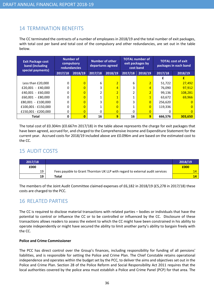# 14 TERMINATION BENEFITS

The CC terminated the contracts of a number of employees in 2018/19 and the total number of exit packages, with total cost per band and total cost of the compulsory and other redundancies, are set out in the table below.

| <b>Exit Package cost</b><br>band (including<br>special payments) |         | <b>Number of</b><br>compulsory<br><b>redundancies</b> | Number of other<br>departures agreed |                | <b>TOTAL number of</b><br>exit packages by<br>cost band |                | <b>TOTAL cost of exit</b><br>packages in each band |                |
|------------------------------------------------------------------|---------|-------------------------------------------------------|--------------------------------------|----------------|---------------------------------------------------------|----------------|----------------------------------------------------|----------------|
|                                                                  | 2017/18 | 2018/19                                               | 2017/18                              | 2018/19        | 2017/18                                                 | 2018/19        | 2017/18                                            | 2018/19        |
|                                                                  |         |                                                       |                                      |                |                                                         |                |                                                    |                |
| Less than £20,000                                                | 0       | $\overline{0}$                                        | 6                                    | $\overline{2}$ | 6                                                       | $\overline{2}$ | 51,722                                             | 27,492         |
| $£20,001 - £40,000$                                              | 0       | $\Omega$                                              | 3                                    | $\overline{4}$ | 3                                                       | 4              | 76,090                                             | 97,912         |
| £40,001 - £60,000                                                | 0       | $\overline{0}$                                        |                                      | $\overline{2}$ |                                                         | $\overline{2}$ | 99,136                                             | 108,281        |
| $£60,001 - £80,000$                                              | 0       | $\overline{0}$                                        |                                      | $\overline{1}$ |                                                         | $\overline{1}$ | 63,672                                             | 69,966         |
| $£80,001 - £100,000$                                             | 0       | $\overline{0}$                                        | 3                                    | $\overline{0}$ | 3                                                       | $\overline{0}$ | 256,620                                            | $\Omega$       |
| £100,001 - £150,000                                              | 0       | $\overline{0}$                                        |                                      | $\overline{0}$ |                                                         | $\overline{0}$ | 119,336                                            | $\overline{0}$ |
| £150,001 - £200,000                                              | 0       | $\overline{0}$                                        | 0                                    | $\overline{0}$ | 0                                                       | $\overline{0}$ | 0                                                  | $\overline{0}$ |
| Total                                                            | 0       | $\overline{0}$                                        | 16                                   | 9              | 16                                                      | 9              | 666,576                                            | 303,650        |

The total cost of £0.304m (£0.667m 2017/18) in the table above represents the charge for exit packages that have been agreed, accrued for, and charged to the Comprehensive Income and Expenditure Statement for the current year. Accrued costs for 2018/19 included above are £0.096m and are based on the estimated cost to the CC.

# 15 AUDIT COSTS

| 2017/18 |                                                                              | 2018/19 |
|---------|------------------------------------------------------------------------------|---------|
| £000    |                                                                              | £000    |
| 19      | Fees payable to Grant Thornton UK LLP with regard to external audit services | 14      |
| 19      | Total                                                                        | 14      |

The members of the Joint Audit Committee claimed expenses of £6,182 in 2018/19 (£5,278 in 2017/18) these costs are charged to the PCC.

# 16 RELATED PARTIES

The CC is required to disclose material transactions with related parties – bodies or individuals that have the potential to control or influence the CC or to be controlled or influenced by the CC. Disclosure of these transactions allows readers to assess the extent to which the CC might have been constrained in his ability to operate independently or might have secured the ability to limit another party's ability to bargain freely with the CC.

# Police and Crime Commissioner

The PCC has direct control over the Group's finances, including responsibility for funding of all pensions' liabilities, and is responsible for setting the Police and Crime Plan. The Chief Constable retains operational independence and operates within the budget set by the PCC, to deliver the aims and objectives set out in the Police and Crime Plan. Section 28 of the Police Reform and Social Responsibility Act 2011 requires that the local authorities covered by the police area must establish a Police and Crime Panel (PCP) for that area. The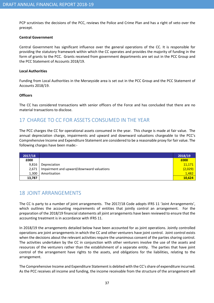PCP scrutinises the decisions of the PCC, reviews the Police and Crime Plan and has a right of veto over the precept.

## Central Government

Central Government has significant influence over the general operations of the CC. It is responsible for providing the statutory framework within which the CC operates and provides the majority of funding in the form of grants to the PCC. Grants received from government departments are set out in the PCC Group and the PCC Statement of Accounts 2018/19.

#### Local Authorities

Funding from Local Authorities in the Merseyside area is set out in the PCC Group and the PCC Statement of Accounts 2018/19.

#### **Officers**

The CC has considered transactions with senior officers of the Force and has concluded that there are no material transactions to disclose.

# 17 CHARGE TO CC FOR ASSETS CONSUMED IN THE YEAR

The PCC charges the CC for operational assets consumed in the year. This charge is made at fair value. The annual depreciation charge, impairments and upward and downward valuations chargeable to the PCC's Comprehensive Income and Expenditure Statement are considered to be a reasonable proxy for fair value. The following charges have been made:-

| 2017/18 |                                           | 2018/19 |
|---------|-------------------------------------------|---------|
| £000    |                                           | £000    |
| 9,816   | Depreciation                              | 11,171  |
| 2,671   | Impairment and upward/downward valuations | (2,029) |
| 1,300   | Amortisation                              | 1,482   |
| 13,787  |                                           | 10,624  |

# 18 JOINT ARRANGEMENTS

The CC is party to a number of joint arrangements. The 2017/18 Code adopts IFRS 11 'Joint Arrangements', which outlines the accounting requirements of entities that jointly control an arrangement. For the preparation of the 2018/19 financial statements all joint arrangements have been reviewed to ensure that the accounting treatment is in accordance with IFRS 11.

In 2018/19 the arrangements detailed below have been accounted for as joint operations. Jointly controlled operations are joint arrangements in which the CC and other venturers have joint control. Joint control exists when the decisions about the relevant activities require the unanimous consent of the parties sharing control. The activities undertaken by the CC in conjunction with other venturers involve the use of the assets and resources of the venturers rather than the establishment of a separate entity. The parties that have joint control of the arrangement have rights to the assets, and obligations for the liabilities, relating to the arrangement.

The Comprehensive Income and Expenditure Statement is debited with the CC's share of expenditure incurred. As the PCC receives all income and funding, the income receivable from the structure of the arrangement will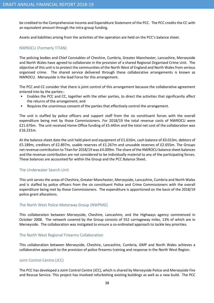be credited to the Comprehensive Income and Expenditure Statement of the PCC. The PCC credits the CC with an equivalent amount through the intra-group funding.

Assets and liabilities arising from the activities of the operation are held on the PCC's balance sheet.

# NWROCU (Formerly TITAN)

The policing bodies and Chief Constables of Cheshire, Cumbria, Greater Manchester, Lancashire, Merseyside and North Wales have agreed to collaborate in the provision of a shared Regional Organised Crime Unit. The objective of this unit is to protect the communities of the North West of England and North Wales from serious organised crime. The shared service delivered through these collaborative arrangements is known as NWROCU. Merseyside is the lead Force for this arrangement.

The PCC and CC consider that there is joint control of this arrangement because the collaborative agreement entered into by the parties:-

- Enables the PCC and CC, together with the other parties, to direct the activities that significantly affect the returns of the arrangement; and
- Requires the unanimous consent of the parties that effectively control the arrangement.

The unit is staffed by police officers and support staff from the six constituent forces with the overall expenditure being met by those Commissioners. For 2018/19 the total revenue costs of NWROCU were £21.676m. The unit received Home Office funding of £5.445m and the total net cost of the collaboration was £16.231m.

At the balance sheet date the unit held plant and equipment of £1.616m, cash balance of £0.013m, debtors of £5.189m, creditors of £2.897m, usable reserves of £1.267m and unusable reserves of £2.655m. The Groups net revenue contribution to Titan for 2018/19 was £4.009m. The share of the NWROCU balance sheet balances and the revenue contribution are not considered to be individually material to any of the participating forces. These balances are accounted for within the Group and the PCC Balance Sheet.

# The Underwater Search Unit

This unit serves the areas of Cheshire, Greater Manchester, Merseyside, Lancashire, Cumbria and North Wales and is staffed by police officers from the six constituent Police and Crime Commissioners with the overall expenditure being met by those Commissioners. The expenditure is apportioned on the basis of the 2018/19 police grant allocations.

## The North West Police Motorway Group (NWPMG)

This collaboration between Merseyside, Cheshire, Lancashire, and the Highways agency commenced in October 2008. The network covered by the Group consists of 552 carriageway miles, 13% of which are in Merseyside. The collaboration was instigated to ensure a co-ordinated approach to tackle key priorities.

## The North West Regional Firearms Collaboration

This collaboration between Merseyside, Cheshire, Lancashire, Cumbria, GMP and North Wales achieves a collaborative approach to the provision of police firearms training and response in the North West Region.

# Joint Control Centre (JCC)

The PCC has developed a Joint Control Centre (JCC), which is shared by Merseyside Police and Merseyside Fire and Rescue Service. This project has involved refurbishing existing buildings as well as a new build. The PCC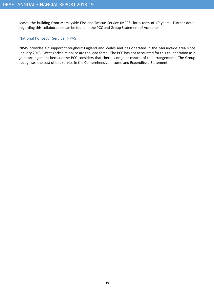leases the building from Merseyside Fire and Rescue Service (MFRS) for a term of 40 years. Further detail regarding this collaboration can be found in the PCC and Group Statement of Accounts.

## National Police Air Service (NPAS)

NPAS provides air support throughout England and Wales and has operated in the Merseyside area since January 2013. West Yorkshire police are the lead force. The PCC has not accounted for this collaboration as a joint arrangement because the PCC considers that there is no joint control of the arrangement. The Group recognises the cost of this service in the Comprehensive Income and Expenditure Statement.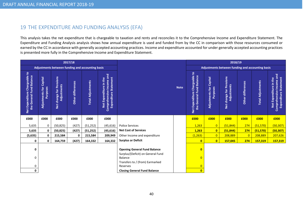# 19 THE EXPENDITURE AND FUNDING ANALYSIS (EFA)

This analysis takes the net expenditure that is chargeable to taxation and rents and reconciles it to the Comprehensive Income and Expenditure Statement. The Expenditure and Funding Analysis analysis shows how annual expenditure is used and funded from by the CC in comparison with those resources consumed or earned by the CC in accordance with generally accepted accounting practices. Income and expenditure accounted for under generally accepted accounting practices is presented more fully in the Comprehensive Income and Expenditure Statement.

|                                                           | 2017/18                             |                                                       |                   |                          |                                                                                       |                                                                          |             |                                                              |                                               | 2018/19                                          |                      |                   |                                                                                    |
|-----------------------------------------------------------|-------------------------------------|-------------------------------------------------------|-------------------|--------------------------|---------------------------------------------------------------------------------------|--------------------------------------------------------------------------|-------------|--------------------------------------------------------------|-----------------------------------------------|--------------------------------------------------|----------------------|-------------------|------------------------------------------------------------------------------------|
|                                                           |                                     | Adjustments between funding and accounting basis      |                   |                          |                                                                                       |                                                                          |             |                                                              |                                               | Adjustments between funding and accounting basis |                      |                   |                                                                                    |
| Net Expenditure Chargeable to<br>the General Fund Balance | Adjustments for Capital<br>Purposes | Pensions<br>Adjustments<br>change for <b>F</b><br>Net | Other differences | <b>Total Adjustments</b> | Comprehensive Income and<br><b>Expenditure Statement</b><br>in the<br>Net Expenditure |                                                                          | <b>Note</b> | Chargeable to<br>the General Fund Balance<br>Net Expenditure | Capital<br>Adjustments for<br><b>Purposes</b> | Net change for Pensions<br>Adjustments           | differences<br>Other | Total Adjustments | Comprehensive Income and<br><b>Expenditure Statement</b><br>Net Expenditure in the |
| £000                                                      | £000                                | £000                                                  | £000              | £000                     | £000                                                                                  |                                                                          |             | £000                                                         | £000                                          | £000                                             | £000                 | £000              | £000                                                                               |
| 5,635                                                     | 0                                   | (50, 825)                                             | (427)             | (51, 252)                | (45, 616)                                                                             | <b>Police Services</b>                                                   |             | 1,263                                                        | $\overline{0}$                                | (51, 844)                                        | 274                  | (51, 570)         | (50, 307)                                                                          |
| 5,635                                                     | $\mathbf 0$                         | (50, 825)                                             | (427)             | (51, 252)                | (45, 616)                                                                             | <b>Net Cost of Services</b>                                              |             | 1,263                                                        | $\mathbf{0}$                                  | (51, 844)                                        | 274                  | (51,570)          | (50, 307)                                                                          |
| (5,635)                                                   | 0                                   | 215,584                                               | 0                 | 215,584                  | 209,949                                                                               | Other Income and expenditure                                             |             | (1, 263)                                                     | $\overline{0}$                                | 208,889                                          | $\overline{0}$       | 208,889           | 207,626                                                                            |
| 0                                                         | 0                                   | 164,759                                               | (427)             | 164,332                  | 164,332                                                                               | <b>Surplus or Deficit</b>                                                |             | $\mathbf{0}$                                                 | $\mathbf{0}$                                  | 157,045                                          | 274                  | 157,319           | 157,319                                                                            |
| 0                                                         |                                     |                                                       |                   |                          |                                                                                       | <b>Opening General Fund Balance</b><br>Surplus/(Deficit) on General Fund |             | $\mathbf{0}$                                                 |                                               |                                                  |                      |                   |                                                                                    |
| 0                                                         |                                     |                                                       |                   |                          |                                                                                       | <b>Balance</b>                                                           |             | $\Omega$                                                     |                                               |                                                  |                      |                   |                                                                                    |
| 0                                                         |                                     |                                                       |                   |                          |                                                                                       | Transfers to / (from) Earmarked<br>Reserves                              |             | $\overline{0}$                                               |                                               |                                                  |                      |                   |                                                                                    |
| 0                                                         |                                     |                                                       |                   |                          |                                                                                       | <b>Closing General Fund Balance</b>                                      |             | $\mathbf{0}$                                                 |                                               |                                                  |                      |                   |                                                                                    |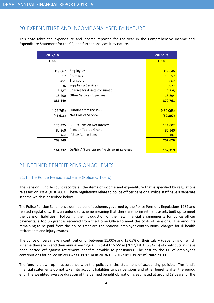# 20 EXPENDITURE AND INCOME ANALYSED BY NATURE

This note takes the expenditure and income reported for the year in the Comprehensive Income and Expenditure Statement for the CC, and further analyses it by nature.

| 2017/18    |                                              | 2018/19   |
|------------|----------------------------------------------|-----------|
| £000       |                                              | £000      |
|            |                                              |           |
| 318,067    | Employees                                    | 317,646   |
| 9,917      | Premises                                     | 10,557    |
| 5,451      | Transport                                    | 6,062     |
| 15,636     | Supplies & Services                          | 15,977    |
| 13,787     | Charges for Assets consumed                  | 10,625    |
| 18,290     | <b>Other Services Expenses</b>               | 18,894    |
| 381,149    |                                              | 379,761   |
|            |                                              |           |
| (426, 765) | Funding from the PCC                         | (430,068) |
| (45, 616)  | <b>Net Cost of Service</b>                   | (50, 307) |
|            |                                              |           |
| 126,425    | IAS 19 Pension Net Interest                  | 121,002   |
| 83,260     | Pension Top Up Grant                         | 86,340    |
| 264        | IAS 19 Admin Fees                            | 284       |
| 209,949    |                                              | 207,626   |
|            |                                              |           |
| 164,332    | Deficit / (Surplus) on Provision of Services | 157,319   |

# 21 DEFINED BENEFIT PENSION SCHEMES

# 21.1 The Police Pension Scheme (Police Officers)

The Pension Fund Account records all the items of income and expenditure that is specified by regulations released on 1st August 2007. These regulations relate to police officer pensions. Police staff have a separate scheme which is described below.

The Police Pension Scheme is a defined benefit scheme, governed by the Police Pensions Regulations 1987 and related regulations. It is an unfunded scheme meaning that there are no investment assets built up to meet the pension liabilities. Following the introduction of the new financial arrangements for police officer payments, a top up grant is received from the Home Office to meet the costs of pensions. The amounts remaining to be paid from the police grant are the notional employer contributions, charges for ill health retirements and injury awards.

The police officers make a contribution of between 11.00% and 15.05% of their salary (depending on which scheme they are in and their annual earnings). In total £16.651m (2017/18: £16.942m) of contributions have been netted off against retirement benefits payable to pensioners. The cost to the CC of employer's contributions for police officers was £39.971m in 2018/19 (2017/18: £39.285m) Note 21.11.

The fund is drawn up in accordance with the policies in the statement of accounting policies. The fund's financial statements do not take into account liabilities to pay pensions and other benefits after the period end. The weighted average duration of the defined benefit obligation is estimated at around 18 years for the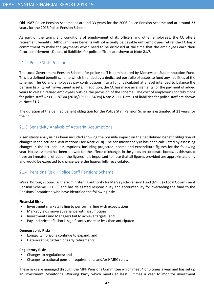Old 1987 Police Pension Scheme, at around 33 years for the 2006 Police Pension Scheme and at around 33 years for the 2015 Police Pension Scheme.

As part of the terms and conditions of employment of its officers and other employees, the CC offers retirement benefits. Although these benefits will not actually be payable until employees retire, the CC has a commitment to make the payments which need to be disclosed at the time that the employees earn their future entitlement. Details of liabilities for police officers are shown at Note 21.7.

# 21.2 Police Staff Pensions

The Local Government Pension Scheme for police staff is administered by Merseyside Superannuation Fund. This is a defined benefit scheme which is funded by a dedicated portfolio of assets to fund any liabilities of the scheme. The CC and employees pay contributions into a fund, calculated at a level intended to balance the pension liability with investment assets. In addition, the CC has made arrangements for the payment of added years to certain retired employees outside the provision of the scheme. The cost of employer's contributions for police staff was £11.873m (2018/19: £11.540m) Note 21.11. Details of liabilities for police staff are shown at Note 21.7.

The duration of the defined benefit obligation for the Police Staff Pension Scheme is estimated at 21 years for the CC.

# 21.3 Sensitivity Analysis of Actuarial Assumptions

A sensitivity analysis has been included showing the possible impact on the net defined benefit obligation of changes in the actuarial assumptions (see **Note 21.8**). The sensitivity analysis has been calculated by assessing changes in the actuarial assumptions, including projected income and expenditure figures for the following year. No assessment has been allowed for the effects of changes in the yields on corporate bonds, as this would have an immaterial effect on the figures. It is important to note that all figures provided are approximate only and would be expected to change were the figures fully recalculated.

# 21.4 Pensions Risk – Police Staff Pensions Scheme

Wirral Borough Council is the administering authority for Merseyside Pension Fund (MPF) (a Local Government Pension Scheme – LGPS) and has delegated responsibility and accountability for overseeing the fund to the Pensions Committee who have identified the following risks:

## Financial Risks

- Investment markets failing to perform in line with expectations;
- Market yields move at variance with assumptions;
- Investment Fund Managers fail to achieve targets; and
- Pay and price inflation is significantly more or less than anticipated.

## Demographic Risks

- Longevity horizons continue to expand; and
- Deteriorating pattern of early retirements.

## Regulatory Risks

- Changes to regulations; and
- Changes to national pension requirements and/or HMRC rules.

These risks are managed through the MPF Pensions Committee which meet 4 or 5 times a year and has set up an Investment Monitoring Working Party which meets at least 6 times a year to monitor investment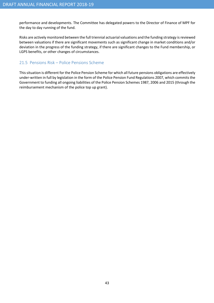performance and developments. The Committee has delegated powers to the Director of Finance of MPF for the day to day running of the fund.

Risks are actively monitored between the full triennial actuarial valuations and the funding strategy is reviewed between valuations if there are significant movements such as significant change in market conditions and/or deviation in the progress of the funding strategy, if there are significant changes to the Fund membership, or LGPS benefits, or other changes of circumstances.

# 21.5 Pensions Risk – Police Pensions Scheme

This situation is different for the Police Pension Scheme for which all future pensions obligations are effectively under-written in full by legislation in the form of the Police Pension Fund Regulations 2007, which commits the Government to funding all ongoing liabilities of the Police Pension Schemes 1987, 2006 and 2015 (through the reimbursement mechanism of the police top up grant).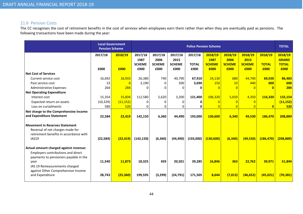# 21.6 Pension Costs

The CC recognises the cost of retirement benefits in the cost of services when employees earn them rather than when they are eventually paid as pensions. The following transactions have been made during the year:

|                                                                                                                                     |           | <b>Local Government</b><br><b>Pension Scheme</b> |                                  |                                  |                                  |                         | <b>Police Pension Scheme</b>     |                                  |                                  |                         | <b>TOTAL</b>                            |
|-------------------------------------------------------------------------------------------------------------------------------------|-----------|--------------------------------------------------|----------------------------------|----------------------------------|----------------------------------|-------------------------|----------------------------------|----------------------------------|----------------------------------|-------------------------|-----------------------------------------|
|                                                                                                                                     | 2017/18   | 2018/19                                          | 2017/18<br>1987<br><b>SCHEME</b> | 2017/18<br>2006<br><b>SCHEME</b> | 2017/18<br>2015<br><b>SCHEME</b> | 2017/18<br><b>TOTAL</b> | 2018/19<br>1987<br><b>SCHEME</b> | 2018/19<br>2006<br><b>SCHEME</b> | 2018/19<br>2015<br><b>SCHEME</b> | 2018/19<br><b>TOTAL</b> | 2018/19<br><b>GRAND</b><br><b>TOTAL</b> |
|                                                                                                                                     | £000      | £000                                             | £000                             | £000                             | £000                             | £000                    | £000                             | £000                             | £000                             | £000                    | £000                                    |
| <b>Net Cost of Services</b>                                                                                                         |           |                                                  |                                  |                                  |                                  |                         |                                  |                                  |                                  |                         |                                         |
| Current service cost                                                                                                                | 16,692    | 16,933                                           | 26,380                           | 740                              | 40,790                           | 67,910                  | 24,130                           | 680                              | 44,740                           | 69,550                  | 86,483                                  |
| Past service cost                                                                                                                   | 23        | $\overline{0}$                                   | 3,190                            | $\mathbf{0}$                     | 500                              | 3,690                   | 150                              | 10                               | 440                              | 600                     | 600                                     |
| <b>Administrative Expenses</b>                                                                                                      | 264       | 284                                              | 0                                |                                  | <sup>n</sup>                     | ŋ                       |                                  | $\Omega$                         | $\Omega$                         | $\overline{0}$          | 284                                     |
| <b>Net Operating Expenditure</b>                                                                                                    |           |                                                  |                                  |                                  |                                  |                         |                                  |                                  |                                  |                         |                                         |
| Interest cost                                                                                                                       | 15,354    | 15,834                                           | 112,580                          | 5,620                            | 3,200                            | 121,400                 | 106,320                          | 5,650                            | 4,350                            | 116,320                 | 132,154                                 |
| Expected return on assets                                                                                                           | (10, 329) | (11, 152)                                        | <sup>0</sup>                     | <sup>0</sup>                     | <sup>0</sup>                     |                         |                                  |                                  | $\overline{0}$                   |                         | (11, 152)                               |
| Loss on curtailments                                                                                                                | 580       | 520                                              | 0                                | 0                                | 0                                | U                       |                                  | $\Omega$                         | $\Omega$                         | $\mathbf{0}$            | 520                                     |
| Net charge to the Comprehensive Income<br>and Expenditure Statement                                                                 | 22,584    | 22,419                                           | 142,150                          | 6,360                            | 44,490                           | 193,000                 | 130,600                          | 6,340                            | 49,530                           | 186,470                 | 208,889                                 |
| <b>Movement in Reserves Statement</b><br>Reversal of net charges made for<br>retirement benefits in accordance with<br><b>IAS19</b> | (22, 584) | (22, 419)                                        | (142, 150)                       | (6, 360)                         | (44, 490)                        | (193,000)               | (130, 600)                       | (6, 340)                         | (49,530)                         | (186, 470)              | (208, 889)                              |
| Actual amount charged against revenue:<br>Employers contributions and direct<br>payments to pensioners payable in the               |           |                                                  |                                  |                                  |                                  |                         |                                  |                                  |                                  |                         |                                         |
| year<br>IAS 19 Remeasurements charged<br>against Other Comprehensive Income                                                         | 11,540    | 11,873                                           | 18,325                           | 459                              | 20,501                           | 39,285                  | 16,846                           | 363                              | 22,762                           | 39,971                  | 51,844                                  |
| and Expenditure                                                                                                                     | 28,743    | (25, 360)                                        | 199,595                          | (3, 299)                         | (24, 791)                        | 171,505                 | 8,644                            | (7, 013)                         | (46, 652)                        | (45, 021)               | (70, 381)                               |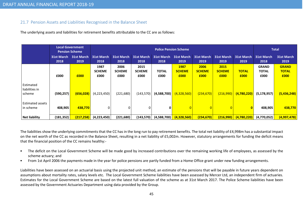# 21.7 Pension Assets and Liabilities Recognised in the Balance Sheet

The underlying assets and liabilities for retirement benefits attributable to the CC are as follows:

|                                       |                    | <b>Local Government</b><br><b>Pension Scheme</b> |                               | <b>Police Pension Scheme</b>  |                               |                               |                               |                               |                               |                      |                                      |                                      |
|---------------------------------------|--------------------|--------------------------------------------------|-------------------------------|-------------------------------|-------------------------------|-------------------------------|-------------------------------|-------------------------------|-------------------------------|----------------------|--------------------------------------|--------------------------------------|
|                                       | 31st March<br>2018 | 31st March<br>2019                               | <b>31st March</b><br>2018     | <b>31st March</b><br>2018     | <b>31st March</b><br>2018     | 31st March 31st March<br>2018 | 2019                          | 31st March<br>2019            | 31st March<br>2019            | 31st March<br>2019   | <b>31st March</b><br>2018            | <b>31st March</b><br>2019            |
|                                       | £000               | £000                                             | 1987<br><b>SCHEME</b><br>£000 | 2006<br><b>SCHEME</b><br>£000 | 2015<br><b>SCHEME</b><br>£000 | <b>TOTAL</b><br>£000          | 1987<br><b>SCHEME</b><br>£000 | 2006<br><b>SCHEME</b><br>£000 | 2015<br><b>SCHEME</b><br>£000 | <b>TOTAL</b><br>£000 | <b>GRAND</b><br><b>TOTAL</b><br>£000 | <b>GRAND</b><br><b>TOTAL</b><br>£000 |
| Estimated<br>liabilities in<br>scheme | (590, 257)         | (656, 028)                                       | (4,223,450)                   | (221, 680)                    | (143, 570)                    | (4,588,700)                   | (4,328,560)                   | (234, 670)                    | (216,990)                     | (4,780,220)          | (5, 178, 957)                        | (5,436,248)                          |
| <b>Estimated assets</b><br>in scheme  | 408,905            | 438,770                                          | $\mathbf{0}$                  |                               |                               | 0                             |                               |                               |                               | $\bf{0}$             | 408,905                              | 438,770                              |
| <b>Net liability</b>                  | (181, 352)         | (217, 258)                                       | (4,223,450)                   | (221, 680)                    | (143,570)                     | (4,588,700)                   | (4,328,560)                   | (234, 670)                    | <u>(216,990)</u>              | (4,780,220)          | (4,770,052)                          | (4,997,478)                          |

The liabilities show the underlying commitments that the CC has in the long run to pay retirement benefits. The total net liability of £4,998m has a substantial impact on the net worth of the CC as recorded in the Balance Sheet, resulting in a net liability of £5,002m. However, statutory arrangements for funding the deficit means that the financial position of the CC remains healthy:-

- • The deficit on the Local Government Scheme will be made good by increased contributions over the remaining working life of employees, as assessed by the scheme actuary; and
- •From 1st April 2006 the payments made in the year for police pensions are partly funded from a Home Office grant under new funding arrangements.

Liabilities have been assessed on an actuarial basis using the projected unit method, an estimate of the pensions that will be payable in future years dependent on assumptions about mortality rates, salary levels etc. The Local Government Scheme liabilities have been assessed by Mercer Ltd, an independent firm of actuaries. Estimates for the Local Government Scheme are based on the latest full valuation of the scheme as at 31st March 2017. The Police Scheme liabilities have been assessed by the Government Actuaries Department using data provided by the Group.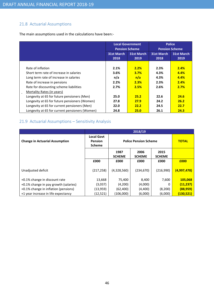# 21.8 Actuarial Assumptions

The main assumptions used in the calculations have been:-

|                                                |                           | <b>Local Government</b><br><b>Pension Scheme</b> |                           | <b>Police</b><br><b>Pension Scheme</b> |
|------------------------------------------------|---------------------------|--------------------------------------------------|---------------------------|----------------------------------------|
|                                                | <b>31st March</b><br>2018 | <b>31st March</b><br>2019                        | <b>31st March</b><br>2018 | <b>31st March</b><br>2019              |
|                                                |                           |                                                  |                           |                                        |
| Rate of inflation                              | 2.1%                      | 2.2%                                             | 2.3%                      | 2.4%                                   |
| Short term rate of increase in salaries        | 3.6%                      | 3.7%                                             | 4.3%                      | 4.4%                                   |
| Long term rate of increase in salaries         | n/a                       | n/a                                              | 4.3%                      | 4.4%                                   |
| Rate of increase in pensions                   | 2.2%                      | 2.3%                                             | 2.3%                      | 2.4%                                   |
| Rate for discounting scheme liabilities        | 2.7%                      | 2.5%                                             | 2.6%                      | 2.7%                                   |
| Mortality Rates (in years)                     |                           |                                                  |                           |                                        |
| Longevity at 65 for future pensioners (Men)    | 25.0                      | 25.2                                             | 22.6                      | 24.6                                   |
| Longevity at 65 for future pensioners (Women)  | 27.8                      | 27.9                                             | 24.2                      | 26.2                                   |
| Longevity at 65 for current pensioners (Men)   | 22.0                      | 22.2                                             | 24.5                      | 22.7                                   |
| Longevity at 65 for current pensioners (Women) | 24.8                      | 25.0                                             | 26.1                      | 24.3                                   |

# 21.9 Actuarial Assumptions – Sensitivity Analysis

|                                       |                                                      |                       | 2018/19                      |                       |              |
|---------------------------------------|------------------------------------------------------|-----------------------|------------------------------|-----------------------|--------------|
| <b>Change in Actuarial Assumption</b> | <b>Local Govt</b><br><b>Pension</b><br><b>Scheme</b> |                       | <b>Police Pension Scheme</b> |                       | <b>TOTAL</b> |
|                                       |                                                      | 1987<br><b>SCHEME</b> | 2006<br><b>SCHEME</b>        | 2015<br><b>SCHEME</b> |              |
|                                       | £000                                                 | £000                  | £000                         | £000                  | £000         |
| Unadjusted deficit                    | (217, 258)                                           | (4,328,560)           | (234, 670)                   | (216,990)             | (4,997,478)  |
| +0.1% change in discount rate         | 13,668                                               | 75,400                | 8,400                        | 7,600                 | 105,068      |
| +0.1% change in pay growth (salaries) | (3,037)                                              | (4,200)               | (4,000)                      | 0                     | (11, 237)    |
| +0.1% change in inflation (pensions)  | (13, 959)                                            | (62, 400)             | (4,400)                      | (8,200)               | (88, 959)    |
| +1 year increase in life expectancy   | (12, 521)                                            | (106,000)             | (6,000)                      | (6,000)               | (130,521)    |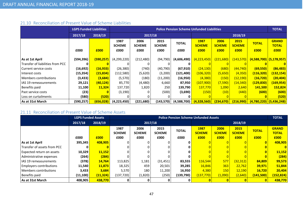# 21.10 Reconciliation of Present Value of Scheme Liabilities

|                                  | <b>LGPS Funded Liabilities</b> |            |                       |                       |                       | <b>Police Pension Scheme Unfunded Liabilities</b> |                       |                       |                       |                           | <b>TOTAL</b>                 |
|----------------------------------|--------------------------------|------------|-----------------------|-----------------------|-----------------------|---------------------------------------------------|-----------------------|-----------------------|-----------------------|---------------------------|------------------------------|
|                                  | 2017/18                        | 2018/19    |                       | 2017/18               |                       |                                                   |                       |                       | 2018/19               |                           |                              |
|                                  |                                |            | 1987<br><b>SCHEME</b> | 2006<br><b>SCHEME</b> | 2015<br><b>SCHEME</b> | <b>TOTAL</b>                                      | 1987<br><b>SCHEME</b> | 2006<br><b>SCHEME</b> | 2015<br><b>SCHEME</b> | <b>TOTAL</b>              | <b>GRAND</b><br><b>TOTAL</b> |
|                                  | £000                           | £000       | £000                  | £000                  | £000                  | £000                                              | £000                  | £000                  | £000                  | £000                      | £000                         |
| As at 1st April                  | (594, 396)                     | (590, 257) | (4,299,220)           | (212, 480)            | (94, 790)             | (4,606,490)                                       | <u>(4,223,450)</u>    | (221, 680)            | (143, 570)            |                           | $(4,588,700)$ (5,178,957)    |
| Transfer of liabilities from PCC |                                |            |                       | 0                     |                       |                                                   |                       |                       |                       |                           |                              |
| Current service costs            | (16, 692)                      | (16, 933)  | (26, 380)             | (740)                 | (40, 790)             | (67, 910)                                         | (24, 130)             | (680)                 | (44, 740)             | (69, 550)                 | (86, 483)                    |
| Interest costs                   | (15, 354)                      | (15, 834)  | (112,580)             | (5,620)               | (3,200)               | (121, 400)                                        | (106, 320)            | (5,650)               | (4,350)               | (116, 320)                | (132, 154)                   |
| Members contributions            | (3, 433)                       | (3,684)    | (5, 570)              | (180)                 | (11,200)              | (16, 950)                                         | (4, 380)              | (150)                 | (12, 190)             | (16, 720)                 | (20, 404)                    |
| IAS 19 remeasurements            | 29,121                         | (40, 124)  | 85,770                | (4,480)               | 6,660                 | 87,950                                            | (107, 900)            | (7,590)               | (14, 340)             | <u>(129,830)</u>          | (169, 954)                   |
| Benefits paid                    | 11,100                         | 11,324     | 137,720               | 1,820                 | 250                   | 139,790                                           | 137,770               | 1,090                 | 2,640                 | 141,500                   | 152,824                      |
| Past service costs               | (23)                           |            | (3, 190)              | 0                     | (500)                 | (3,690)                                           | (150)                 | (10)                  | (440)                 | (600)                     | (600)                        |
| Loss on curtailments             | (580)                          | (520)      |                       | 0                     |                       |                                                   |                       |                       |                       |                           | (520)                        |
| As at 31st March                 | (590,257)                      | (656, 028) | (4,223,450)           | (221, 680)            | (143, 570)            | (4,588,700)                                       | (4,328,560)           | (234, 670)            | (216,990)             | $(4,780,220)$ (5,436,248) |                              |

# 21.11 Reconciliation of Present Value of Scheme Assets

|                             |           | <b>LGPS Funded Assets</b> |                       |                       |                       | <b>Police Pension Scheme Unfunded Assets</b> |                       |                       |                       |              | <b>TOTAL</b>                 |
|-----------------------------|-----------|---------------------------|-----------------------|-----------------------|-----------------------|----------------------------------------------|-----------------------|-----------------------|-----------------------|--------------|------------------------------|
|                             | 2017/18   | 2018/19                   |                       |                       | 2017/18               |                                              |                       | 2018/19               |                       |              |                              |
|                             |           |                           | 1987<br><b>SCHEME</b> | 2006<br><b>SCHEME</b> | 2015<br><b>SCHEME</b> | <b>TOTAL</b>                                 | 1987<br><b>SCHEME</b> | 2006<br><b>SCHEME</b> | 2015<br><b>SCHEME</b> | <b>TOTAL</b> | <b>GRAND</b><br><b>TOTAL</b> |
|                             | £000      | £000                      | £000                  | £000                  | £000                  | £000                                         | £000                  | £000                  | £000                  | £000         | £000                         |
| As at 1st April             | 395,345   | 408,905                   |                       |                       |                       |                                              |                       |                       |                       |              | 408,905                      |
| Transfer of assets from PCC |           |                           |                       |                       |                       |                                              |                       |                       |                       |              |                              |
| Expected return on assets   | 10,329    | 11,152                    |                       |                       |                       |                                              |                       |                       |                       |              | 11,152                       |
| Administrative expenses     | (264)     | (284)                     |                       | 0                     |                       |                                              |                       |                       |                       |              | (284)                        |
| IAS 19 remeasurements       | (378)     | 14,764                    | 113,825               | 1,181                 | (31, 451)             | 83,555                                       | 116,544               | 577                   | (32, 312)             | 84,809       | 99,573                       |
| Employers contributions     | 11,540    | 11,873                    | 18,325                | 459                   | 20,501                | 39,285                                       | 16,846                | 363                   | 22.762                | 39,971       | 51,844                       |
| l Members contributions     | 3,433     | 3,684                     | 5,570                 | 180                   | 11,200                | 16,950                                       | 4,380                 | <b>150</b>            | 12,190                | 16,720       | 20,404                       |
| Benefits paid               | (11, 100) | (11, 324)                 | (137, 720)            | (1,820)               | (250)                 | (139,790)                                    | (137,770)             | (1,090)               | (2,640)               | (141,500)    | (152, 824)                   |
| As at 31st March            | 408,905   | 438,770                   | 0                     |                       |                       |                                              |                       |                       |                       |              | 438,770                      |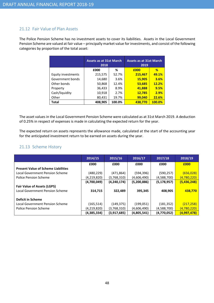# 21.12 Fair Value of Plan Assets

The Police Pension Scheme has no investment assets to cover its liabilities. Assets in the Local Government Pension Scheme are valued at fair value – principally market value for investments, and consist of the following categories by proportion of the total asset:

|                    | <b>Assets as at 31st March</b><br>2018 |        | <b>Assets as at 31st March</b><br>2019 |        |
|--------------------|----------------------------------------|--------|----------------------------------------|--------|
|                    | £000                                   | %      | £000                                   | %      |
| Equity investments | 215,575                                | 52.7%  | 215,467                                | 49.1%  |
| Government bonds   | 14,680                                 | 3.6%   | 15,905                                 | 3.6%   |
| Other bonds        | 50,868                                 | 12.4%  | 53,685                                 | 12.2%  |
| Property           | 36,433                                 | 8.9%   | 41,888                                 | 9.5%   |
| Cash/liquidity     | 10,918                                 | 2.7%   | 12,785                                 | 2.9%   |
| Other              | 80,431                                 | 19.7%  | 99,040                                 | 22.6%  |
| <b>Total</b>       | 408,905                                | 100.0% | 438.770                                | 100.0% |

The asset values in the Local Government Pension Scheme were calculated as at 31st March 2019. A deduction of 0.25% in respect of expenses is made in calculating the expected return for the year.

The expected return on assets represents the allowance made, calculated at the start of the accounting year for the anticipated investment return to be earned on assets during the year.

# 21.13 Scheme History

|                                            | 2014/15     | 2015/16       | 2016/17     | 2017/18       | 2018/19     |
|--------------------------------------------|-------------|---------------|-------------|---------------|-------------|
|                                            | £000        | £000          | £000        | £000          | £000        |
| <b>Present Value of Scheme Liabilities</b> |             |               |             |               |             |
| Local Government Pension Scheme            | (480, 229)  | (471, 864)    | (594, 396)  | (590, 257)    | (656, 028)  |
| <b>Police Pension Scheme</b>               | (4,219,820) | (3,768,310)   | (4,606,490) | (4,588,700)   | (4,780,220) |
|                                            | (4,700,049) | (4, 240, 174) | (5,200,886) | (5, 178, 957) | (5,436,248) |
| <b>Fair Value of Assets (LGPS)</b>         |             |               |             |               |             |
| Local Government Pension Scheme            | 314,715     | 322,489       | 395,345     | 408,905       | 438,770     |
|                                            |             |               |             |               |             |
| <b>Deficit in Scheme</b>                   |             |               |             |               |             |
| Local Government Pension Scheme            | (165, 514)  | (149, 375)    | (199, 051)  | (181, 352)    | (217, 258)  |
| <b>Police Pension Scheme</b>               | (4,219,820) | (3,768,310)   | (4,606,490) | (4,588,700)   | (4,780,220) |
|                                            | (4,385,334) | (3,917,685)   | (4,805,541) | (4,770,052)   | (4,997,478) |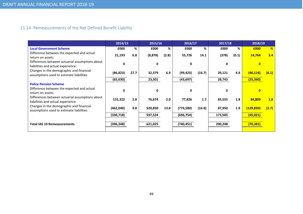# 21.14 Remeasurements of the Net Defined Benefit Liability

|                                                                                      | 2014/15    |      | 2015/16  |       | 2016/17      |        | 2017/18      |       | 2018/19      |       |
|--------------------------------------------------------------------------------------|------------|------|----------|-------|--------------|--------|--------------|-------|--------------|-------|
| <b>Local Government Scheme</b>                                                       | £000       | %    | £000     | %     | £000         | %      | £000         | %     | £000         | %     |
| Difference between the expected and actual<br>return on assets                       | 21,193     | 6.8  | (8, 878) | (2.8) | 55,726       | 14.1   | (378)        | (0.1) | 14,764       | 3.4   |
| Differences between actuarial assumptions about<br>liabilities and actual experience | U          |      | ŋ        |       | 0            |        | 0            |       |              |       |
| Changes in the demographic and financial<br>assumptions used to estimate liabilities | (86, 823)  | 27.7 | 32,379   | 6.9   | (99, 423)    | (16.7) | 29,121       | 4.9   | (40,124)     | (6.1) |
|                                                                                      | (65, 630)  |      | 23,501   |       | (43, 697)    |        | 28,743       |       | (25, 360)    |       |
| <b>Police Pension Scheme</b>                                                         |            |      |          |       |              |        |              |       |              |       |
| Difference between the expected and actual<br>return on assets                       | U          |      | O        |       | $\mathbf{0}$ |        | <sup>0</sup> |       | $\mathbf{0}$ |       |
| Differences between actuarial assumptions about<br>liabilities and actual experience | 131,322    | 2.8  | 76,674   | 2.0   | 77,826       | 1.7    | 83,555       | 1.8   | 84,809       | 1.8   |
| Changes in the demographic and financial<br>assumptions used to estimate liabilities | (462,040)  | 9.8  | 520,850  | 13.8  | (774, 580)   | (16.8) | 87,950       | 1.9   | (129, 830)   | (2.7) |
|                                                                                      | (330, 718) |      | 597,524  |       | (696, 754)   |        | 171,505      |       | (45, 021)    |       |
| <b>Total IAS 19 Remeasurements</b>                                                   | (396, 348) |      | 621,025  |       | (740, 451)   |        | 200,248      |       | (70, 381)    |       |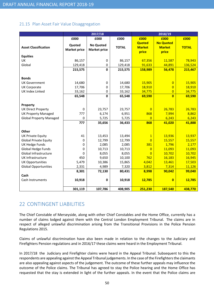# 21.15 Plan Asset Fair Value Disaggregation

|                                |                     | 2017/18             |              |                | 2018/19          |              |
|--------------------------------|---------------------|---------------------|--------------|----------------|------------------|--------------|
|                                | £000                | £000                | £000         | £000           | £000             | £000         |
|                                | Quoted              | <b>No Quoted</b>    |              | <b>Quoted</b>  | <b>No Quoted</b> |              |
| <b>Asset Classification</b>    | <b>Market price</b> | <b>Market price</b> | <b>TOTAL</b> | <b>Market</b>  | <b>Market</b>    | <b>TOTAL</b> |
|                                |                     |                     |              | price          | price            |              |
| <b>Equities</b>                |                     |                     |              |                |                  |              |
| UK                             | 86,157              | $\pmb{0}$           | 86,157       | 67,356         | 11,587           | 78,943       |
| Global                         | 129,418             | $\pmb{0}$           | 129,418      | 91,633         | 44,891           | 136,524      |
|                                | 215,575             | 0                   | 215,575      | 158,989        | 56,478           | 215,467      |
|                                |                     |                     |              |                |                  |              |
| <b>Bonds</b>                   |                     |                     |              |                |                  |              |
| <b>UK Government</b>           | 14,680              | 0                   | 14,680       | 15,905         | $\overline{0}$   | 15,905       |
| <b>UK Corporate</b>            | 17,706              | 0                   | 17,706       | 18,910         | $\overline{0}$   | 18,910       |
| UK Index Linked                | 33,162              | 0                   | 33,162       | 34,775         | $\overline{0}$   | 34,775       |
|                                | 65,548              | $\mathbf 0$         | 65,548       | 69,590         | $\overline{0}$   | 69,590       |
|                                |                     |                     |              |                |                  |              |
| Property                       |                     |                     |              |                |                  |              |
| <b>UK Direct Property</b>      | 0                   | 23,757              | 23,757       | $\overline{0}$ | 26,783           | 26,783       |
| <b>UK Property Managed</b>     | 777                 | 6,174               | 6,951        | 868            | 7,994            | 8,862        |
| <b>Global Property Managed</b> | 0                   | 5,725               | 5,725        | $\overline{0}$ | 6,243            | 6,243        |
|                                | 777                 | 35,656              | 36,433       | 868            | 41,020           | 41,888       |
|                                |                     |                     |              |                |                  |              |
| Other                          |                     |                     |              |                |                  |              |
| <b>UK Private Equity</b>       | 41                  | 13,453              | 13,494       | $\mathbf{1}$   | 13,936           | 13,937       |
| <b>Global Private Equity</b>   | $\mathbf 0$         | 12,799              | 12,799       | $\overline{0}$ | 15,557           | 15,557       |
| <b>UK Hedge Funds</b>          | 0                   | 2,085               | 2,085        | 381            | 1,796            | 2,177        |
| Global Hedge Funds             | 0                   | 10,713              | 10,713       | $\overline{0}$ | 11,093           | 11,093       |
| Global Infrastructure          | 0                   | 8,055               | 8,055        | $\overline{0}$ | 10,702           | 10,702       |
| UK Infrastructure              | 450                 | 9,650               | 10,100       | 762            | 16,183           | 16,945       |
| <b>UK Opportunities</b>        | 5,479               | 10,386              | 15,865       | 4,042          | 13,461           | 17,503       |
| <b>Global Opportunities</b>    | 2,331               | 4,989               | 7,320        | 3,812          | 7,314            | 11,126       |
|                                | 8,301               | 72,130              | 80,431       | 8,998          | 90,042           | 99,040       |
| Cash                           |                     |                     |              |                |                  |              |
| Cash Instruments               | 10,918              | 0                   | 10,918       | 12,785         | $\overline{0}$   | 12,785       |
|                                | 301,119             | 107,786             | 408,905      | 251,230        | 187,540          | 438,770      |
|                                |                     |                     |              |                |                  |              |

# 22 CONTINGENT LIABILITIES

The Chief Constable of Merseyside, along with other Chief Constables and the Home Office, currently has a number of claims lodged against them with the Central London Employment Tribunal. The claims are in respect of alleged unlawful discrimination arising from the Transitional Provisions in the Police Pension Regulations 2015.

Claims of unlawful discrimination have also been made in relation to the changes to the Judiciary and Firefighters Pension regulations and in 2016/17 these claims were heard in the Employment Tribunal.

In 2017/18 the Judiciary and Firefighter claims were heard in the Appeal Tribunal. Subsequent to this the respondents are appealing against the Appeal Tribunal judgements. In the case of the Firefighters the claimants are also appealing against aspects of the judgement. The outcome of these further appeals may influence the outcome of the Police claims. The Tribunal has agreed to stay the Police hearing and the Home Office has requested that the stay is extended in light of the further appeals. In the event that the Police claims are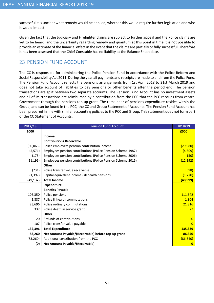successful it is unclear what remedy would be applied, whether this would require further legislation and who it would impact.

Given the fact that the Judiciary and Firefighter claims are subject to further appeal and the Police claims are yet to be heard, and the uncertainty regarding remedy and quantum at this point in time it is not possible to provide an estimate of the financial effect in the event that the claims are partially or fully successful. Therefore it has been assessed that the Chief Constable has no liability at the Balance Sheet date.

# 23 PENSION FUND ACCOUNT

The CC is responsible for administering the Police Pension Fund in accordance with the Police Reform and Social Responsibility Act 2011. During the year all payments and receipts are made to and from the Police Fund. The Pension Fund Account reflects the pensions arrangements from 1st April 2018 to 31st March 2019 and does not take account of liabilities to pay pensions or other benefits after the period end. The pension transactions are split between two separate accounts. The Pension Fund Account has no investment assets and all of its transactions are reimbursed by a contribution from the PCC that the PCC recoups from central Government through the pensions top-up grant. The remainder of pensions expenditure resides within the Group, and can be found in the PCC, the CC and Group Statement of Accounts. The Pension Fund Account has been prepared in line with similar accounting policies to the PCC and Group. This statement does not form part of the CC Statement of Accounts.

| 2017/18   | <b>Pension Fund Account</b>                                  | 2018/19        |
|-----------|--------------------------------------------------------------|----------------|
| £000      |                                                              | £000           |
|           | Income                                                       |                |
|           | <b>Contributions Receivable</b>                              |                |
| (30,066)  | Police employers pension contribution income                 | (29,980)       |
| (5, 571)  | Employees pension contributions (Police Pension Scheme 1987) | (4,309)        |
| (175)     | Employees pension contributions (Police Pension Scheme 2006) | (150)          |
| (11, 196) | Employees pension contributions (Police Pension Scheme 2015) | (12, 192)      |
|           | Other                                                        |                |
| (731)     | Police transfer value receivable                             | (598)          |
| (1, 397)  | Capital equivalent income - ill health pensions              | (1,770)        |
| (49, 137) | <b>Total Income</b>                                          | (48,999)       |
|           | <b>Expenditure</b>                                           |                |
|           | <b>Benefits Payable</b>                                      |                |
| 106,350   | Police pensions                                              | 111,642        |
| 1,887     | Police ill health commutations                               | 1,804          |
| 23,696    | Police ordinary commutations                                 | 21,816         |
| 337       | Police death in service grant                                | 77             |
|           | Other                                                        |                |
| 20        | Refunds of contributions                                     | $\Omega$       |
| 107       | Police transfer value payable                                | $\overline{0}$ |
| 132,396   | <b>Total Expenditure</b>                                     | 135,339        |
| 83,260    | Net Amount Payable/(Receivable) before top-up grant          | 86,340         |
| (83, 260) | Additional contribution from the PCC                         | (86, 340)      |
| (0)       | <b>Net Amount Payable/(Receivable)</b>                       | $\mathbf{0}$   |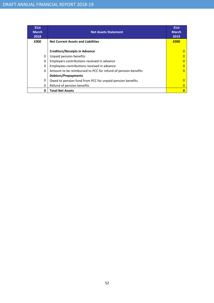| 31st<br><b>March</b><br>2018 | <b>Net Assets Statement</b>                                   | 31st<br><b>March</b><br>2019 |
|------------------------------|---------------------------------------------------------------|------------------------------|
| £000                         | <b>Net Current Assets and Liabilities</b>                     | £000                         |
|                              | <b>Creditors/Receipts in Advance</b>                          |                              |
| $\Omega$                     | Unpaid pension benefits                                       |                              |
| $\Omega$                     | Employers contributions received in advance                   |                              |
| $\Omega$                     | Employees contributions received in advance                   |                              |
| $\Omega$                     | Amount to be reimbursed to PCC for refund of pension benefits |                              |
|                              | <b>Debtors/Prepayments</b>                                    |                              |
| 0                            | Owed to pension fund from PCC for unpaid pension benefits     |                              |
| 0                            | Refund of pension benefits                                    |                              |
| 0                            | <b>Total Net Assets</b>                                       |                              |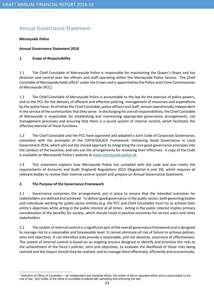# Annual Governance Statement

## Merseyside Police

## Annual Governance Statement 2018

## 1. Scope of Responsibility

1.1 The Chief Constable of Merseyside Police is responsible for maintaining the Queen's Peace and has direction and control over the officers and staff operating within the Merseyside Police Service. The Chief Constable of Merseyside holds office<sup>1</sup> under the Crown and is appointed by the Police and Crime Commissioner of Merseyside (PCC).

1.2 The Chief Constable of Merseyside Police is accountable to the law for the exercise of police powers, and to the PCC for the delivery of efficient and effective policing, management of resources and expenditure by the police force. At all times the Chief Constable, police officers and staff, remain operationally independent in the service of the communities that they serve. In discharging his overall responsibilities, the Chief Constable of Merseyside is responsible for establishing and maintaining appropriate governance arrangements, risk management processes and ensuring that there is a sound system of internal control, which facilitates the effective exercise of these functions.

1.3 The Chief Constable and the PCC have approved and adopted a Joint Code of Corporate Governance, consistent with the principles of the CIPFA/SOLACE Framework: Delivering Good Governance in Local Government 2016, which sets out the shared approach to integrating the core good governance principles into the conduct of the business, and sets out the arrangements for reviewing their effectives. A copy of the Code is available on Merseyside Police's website at www.merseyside.police.uk.

1.4 This statement explains how Merseyside Police has complied with the code and also meets the requirements of Accounts and Audit (England) Regulations 2015 (Regulation 6 and 10), which requires all relevant bodies to review their internal control system and prepare an Annual Governance Statement.

# 2. The Purpose of the Governance Framework

2.1 Governance comprises the arrangements put in place to ensure that the intended outcomes for stakeholders are defined and achieved. To deliver good governance in the public sector, both governing bodies and individuals working for public sector entities (e.g. the PCC and Chief Constable) must try to achieve their entity's objectives while acting in the public interest at all times. Acting in the public interest implies primary consideration of the benefits for society, which should result in positive outcomes for service users and other stakeholders.

2.2 The system of internal control is a significant part of the overall governance framework and is designed to manage risk to a reasonable and foreseeable level. It cannot eliminate all risk of failure to achieve policies, aims and objectives. It can therefore only provide a reasonable, and not absolute, assurance of effectiveness. The system of internal control is based on an ongoing process designed to identify and prioritise the risks to the achievement of the force's policies, aims and objectives, to evaluate the likelihood of those risks being realised and the impact should they be realised, and to manage them effectively, efficiently and economically.

<sup>&</sup>lt;sup>1</sup> Definition of Office of Constable – "an independent and impartial officer, the holder of whom operates within and is accountable to the rule of law. Any holder of the office of constable is tasked with upholding and enforcing the law".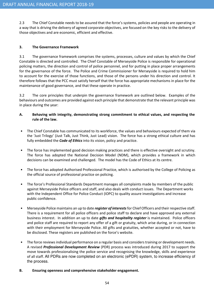2.3 The Chief Constable needs to be assured that the force's systems, policies and people are operating in a way that is driving the delivery of agreed corporate objectives, are focused on the key risks to the delivery of those objectives and are economic, efficient and effective.

# 3. The Governance Framework

3.1 The governance framework comprises the systems, processes, culture and values by which the Chief Constable is directed and controlled. The Chief Constable of Merseyside Police is responsible for operational policing matters, the direction and control of police personnel, and for putting in place proper arrangements for the governance of the force. The Police and Crime Commissioner for Merseyside is required to hold him to account for the exercise of those functions, and those of the persons under his direction and control. It therefore follows that the PCC must satisfy herself that the force has appropriate mechanisms in place for the maintenance of good governance, and that these operate in practice.

3.2 The core principles that underpin the governance framework are outlined below. Examples of the behaviours and outcomes are provided against each principle that demonstrate that the relevant principle was in place during the year:

- A. Behaving with integrity, demonstrating strong commitment to ethical values, and respecting the rule of the law.
- The Chief Constable has communicated to its workforce, the values and behaviours expected of them via the 'Just Trilogy' (Just Talk, Just Think, Just Lead) vision. The force has a strong ethical culture and has fully embedded the **Code of Ethics** into its vision, policy and practice.
- The force has implemented good decision making practices and there is effective oversight and scrutiny. The force has adopted the National Decision Model (NDM), which provides a framework in which decisions can be examined and challenged. The model has the Code of Ethics at its centre.
- The force has adopted Authorised Professional Practice, which is authorised by the College of Policing as the official source of professional practice on policing.
- The force's Professional Standards Department manages all complaints made by members of the public against Merseyside Police officers and staff, and also deals with conduct issues. The Department works with the Independent Office for Police Conduct (IOPC) to quality assure investigations and increase public confidence.
- Merseyside Police maintains an up to date register of interests for Chief Officers and their respective staff. There is a requirement for all police officers and police staff to declare and have approved any external business interest. In addition an up to date *gifts and hospitality register* is maintained. Police officers and police staff are required to report any offer of a gift or gratuity, which arise during, or in connection with their employment for Merseyside Police. All gifts and gratuities, whether accepted or not, have to be disclosed. These registers are published on the force's website.
- The force reviews individual performance on a regular basis and considers training or development needs. A revised Professional Development Review (PDR) process was introduced during 2017 to support the move towards professionalising the police service and recognising the knowledge, skills and experience of all staff. All PDRs are now completed on an electronic (ePDR) system, to increase efficiency of the process.
- B. Ensuring openness and comprehensive stakeholder engagement.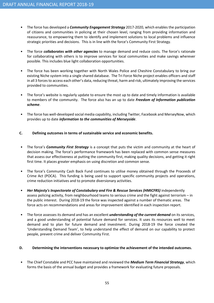- The force has developed a *Community Engagement Strategy* 2017-2020, which enables the participation of citizens and communities in policing at their chosen level, ranging from providing information and reassurance, to empowering them to identify and implement solutions to local problems and influence strategic priorities and decisions. This is in line with the force's Community First Strategy.
- The force *collaborates with other agencies* to manage demand and reduce costs. The force's rationale for collaborating with others is to improve services for local communities and make savings wherever possible. This includes blue light collaboration opportunities.
- The force has been working together with North Wales Police and Cheshire Constabulary to bring our existing Niche system into a single shared database. The Tri Force Niche project enables officers and staff in all 3 forces to access each other's data, reducing threat, harm and risk, ultimately improving the services provided to communities.
- The force's website is regularly update to ensure the most up to date and timely information is available to members of the community. The force also has an up to date Freedom of Information publication scheme.
- The force has well-developed social media capability, including Twitter, Facebook and MerseyNow, which provides up to date *information to the communities of Merseyside*.

## C. Defining outcomes in terms of sustainable service and economic benefits.

- The force's *Community First Strategy* is a concept that puts the victim and community at the heart of decision making. The force's performance framework has been replaced with common sense measures that assess our effectiveness at putting the community first, making quality decisions, and getting it right first time. It places greater emphasis on using discretion and common sense.
- The force's Community Cash Back Fund continues to utilise money obtained through the Proceeds of Crime Act (POCA). This funding is being used to support specific community projects and operations, crime reduction initiatives and to promote diversionary activities.
- Her Majesty's Inspectorate of Constabulary and Fire & Rescue Services (HMICFRS) independently assess policing activity, from neighbourhood teams to serious crime and the fight against terrorism – in the public interest. During 2018-19 the force was inspected against a number of thematic areas. The force acts on recommendations and areas for improvement identified in each inspection report.
- The force assesses its demand and has an excellent *understanding of the current demand* on its services, and a good understanding of potential future demand for services. It uses its resources well to meet demand and to plan for future demand and investment. During 2018-19 the force created the 'Understanding Demand Team', to help understand the effect of demand on our capability to protect people, prevent crime and deliver Community First.

# D. Determining the interventions necessary to optimize the achievement of the intended outcomes.

The Chief Constable and PCC have maintained and reviewed the Medium Term Financial Strategy, which forms the basis of the annual budget and provides a framework for evaluating future proposals.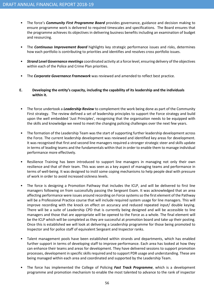- The force's *Community First Programme Board* provides governance, guidance and decision making to ensure programme work is delivered to required timescales and specifications. The Board ensures that the programme achieves its objectives in delivering business benefits including an examination of budget and resourcing.
- The **Continuous Improvement Board** highlights key strategic performance issues and risks, determines how each portfolio is contributing to priorities and identifies and resolves cross portfolio issues.
- Strand Level Governance meetings coordinated activity at a force level, ensuring delivery of the objectives within each of the Police and Crime Plan priorities.
- The Corporate Governance Framework was reviewed and amended to reflect best practice.
- E. Developing the entity's capacity, including the capability of its leadership and the individuals within it.
- The force undertook a *Leadership Review* to complement the work being done as part of the Community First strategy. The review defined a set of leadership principles to support the Force strategy and build upon the well embedded 'Just Principles', recognising that the organisation needs to be equipped with the skills and knowledge we need to meet the changing policing challenges over the next few years.
- The formation of the Leadership Team was the start of supporting further leadership development across the Force. The current leadership development was reviewed and identified key areas for development. It was recognised that first and second line managers required a stronger strategic steer and skills update in terms of leading teams and the fundamentals within that in order to enable them to manage individual performance more effectively.
- Resilience Training has been introduced to support line managers in managing not only their own resilience and that of their team. This was seen as a key aspect of managing teams and performance in terms of well-being. It was designed to instil some coping mechanisms to help people deal with pressure of work in order to avoid increased sickness levels.
- The force is designing a Promotion Pathway that includes the ICLP, and will be delivered to first line managers following on from successfully passing the Sergeant Exam. It was acknowledged that an area affecting performance were issues around recording on Force systems so the first element of the Pathway will be a Professional Practice course that will include required system usage for line managers. This will improve recording with the knock on effect on accuracy and reduced repeated input/ double keying. There will be a suite of Leadership CPD that is currently being designed and will be accessible to line managers and those that are appropriate will be opened to the Force as a whole. The final element will be the ICLP which will be completed as they are successful at promotion board and take up their posting. Once this is established we will look at delivering a Leadership programme for those being promoted to Inspector and for police staff of equivalent Sergeant and Inspector ranks.
- Talent management pools have been established within strands and departments, which has enabled further support in terms of developing staff to improve performance. Each area has looked at how they can enhance their teams and areas for development. They have delivered sessions to support promotion processes, development in specific skills required and to support PDR usage and understanding. These are being managed within each area and coordinated and supported by the Leadership Team.
- The force has implemented the College of Policing Fast Track Programme, which is a development programme and promotion mechanism to enable the most talented to advance to the rank of inspector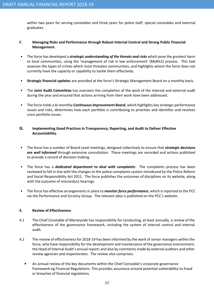within two years for serving constables and three years for police staff, special constables and external graduates.

## F. Managing Risks and Performance through Robust Internal Control and Strong Public Financial Management.

- The force has developed a *strategic understanding of the threats and risks* which pose the greatest harm to local communities, using the 'management of risk in law enforcement' (MoRiLE) process. This tool assesses the types of crimes which most threaten communities, and highlights where the force does not currently have the capacity or capability to tackle them effectively.
- Strategic financial updates are provided at the force's Strategic Management Board on a monthly basis.
- The Joint Audit Committee has overseen the completion of the work of the internal and external audit during the year and ensured that actions arriving from their work have been addressed.
- The force holds a bi-monthly *Continuous Improvement Board, which* highlights key strategic performance issues and risks, determines how each portfolio is contributing to priorities and identifies and resolves cross portfolio issues.

## **G.** Implementing Good Practices in Transparency, Reporting, and Audit to Deliver Effective Accountability.

- The force has a number of Board Level meetings, designed collectively to ensure that *strategic decisions* are well informed through extensive consultation. These meetings are recorded and actions published to provide a record of decision-making.
- The force has a *dedicated department to deal with complaints*. The complaints process has been reviewed to fall in line with the changes to the police complaints system introduced by the Police Reform and Social Responsibility Act 2011. The force publishes the outcomes of disciplines on its website, along with the outcome of misconduct hearings.
- The force has effective arrangements in place to *monitor force performance*, which is reported to the PCC via the Performance and Scrutiny Group. The relevant data is published on the PCC's website.

# 4. Review of Effectiveness

- 4.1 The Chief Constable of Merseyside has responsibility for conducting, at least annually, a review of the effectiveness of the governance framework, including the system of internal control and internal audit.
- 4.2 The review of effectiveness for 2018-19 has been informed by the work of senior managers within the force, who have responsibility for the development and maintenance of the governance environment; the Head of Internal Audit's annual report; and also by comments made by external auditors and other review agencies and inspectorates. The review also comprises:
	- An annual review of the key documents within the Chief Constable's corporate governance framework eg Financial Regulations. This provides assurance around potential vulnerability to fraud or breaches of financial regulations.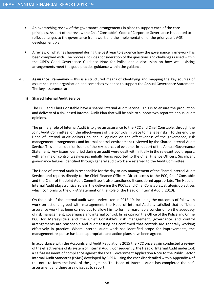- An overarching review of the governance arrangements in place to support each of the core principles. As part of the review the Chief Constable's Code of Corporate Governance is updated to reflect changes to the governance framework and the implementation of the prior year's AGS development plan.
- A review of what has happened during the past year to evidence how the governance framework has been complied with. The process includes consideration of the questions and challenges raised within the CIPFA Good Governance Guidance Note for Police and a discussion on how well existing arrangements meet the good practice guidance within the guidance.
- 4.3 **Assurance Framework** this is a structured means of identifying and mapping the key sources of assurance in the organisation and comprises evidence to support the Annual Governance Statement. The key assurances are:-

## (i) Shared Internal Audit Service

The PCC and Chief Constable have a shared Internal Audit Service. This is to ensure the production and delivery of a risk based Internal Audit Plan that will be able to support two separate annual audit opinions.

The primary role of Internal Audit is to give an assurance to the PCC and Chief Constable, through the Joint Audit Committee, on the effectiveness of the controls in place to manage risks. To this end the Head of Internal Audit delivers an annual opinion on the effectiveness of the governance, risk management arrangements and internal control environment reviewed by the Shared Internal Audit Service. This annual opinion is one of the key sources of evidence in support of the Annual Governance Statement. Any issues identified during an audit were dealt with initially in the relevant audit report, with any major control weaknesses initially being reported to the Chief Finance Officers. Significant governance failures identified through general audit work are referred to the Audit Committee.

The Head of Internal Audit is responsible for the day-to-day management of the Shared Internal Audit Service, and reports directly to the Chief Finance Officers. Direct access to the PCC, Chief Constable and the Chair of the Joint Audit Committee is also sanctioned if considered appropriate. The Head of Internal Audit plays a critical role in the delivering the PCC's, and Chief Constables, strategic objectives which conforms to the CIPFA Statement on the Role of the Head of Internal Audit (2010).

On the basis of the internal audit work undertaken in 2018-19, including the outcomes of follow up work on actions agreed with management, the Head of Internal Audit is satisfied that sufficient assurance work has been carried out to allow him to form a reasonable conclusion on the adequacy of risk management, governance and internal control. In his opinion the Office of the Police and Crime PCC for Merseyside's and the Chief Constable's risk management, governance and control arrangements are reasonable and audit testing has confirmed that controls are generally working effectively in practice. Where internal audit work has identified scope for improvements, the management response has been appropriate and action plans have been agreed.

In accordance with the Accounts and Audit Regulations 2015 the PCC once again conducted a review of the effectiveness of its system of Internal Audit. Consequently, the Head of Internal Audit undertook a self-assessment of compliance against the Local Government Application Note to the Public Sector Internal Audit Standards (PSIAS) developed by CIPFA, using the checklist detailed within Appendix 4 of the note to form the basis of the judgment. The Head of Internal Audit has completed the selfassessment and there are no issues to report.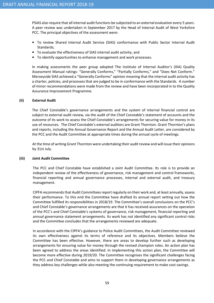PSIAS also require that all internal audit functions be subjected to an external evaluation every 5 years. A peer review was undertaken in September 2017 by the Head of Internal Audit of West Yorkshire PCC. The principal objectives of the assessment were:

- To review Shared Internal Audit Service (SIAS) conformance with Public Sector Internal Audit Standards;
- To evaluate the effectiveness of SIAS internal audit activity; and
- To identify opportunities to enhance management and work processes.

In making assessments the peer group adopted The Institute of Internal Auditor's (IIIA) Quality Assessment Manual ratings: "Generally Conforms," "Partially Conforms," and "Does Not Conform." Merseyside SIAS achieved a "Generally Conforms" opinion meaning that the internal audit activity has a charter, policies, and processes that are judged to be in conformance with the Standards. A number of minor recommendations were made from the review and have been incorporated in to the Quality Assurance Improvement Programme.

## (ii) External Audit

The Chief Constable's governance arrangements and the system of internal financial control are subject to external audit review, via the audit of the Chief Constable's statement of accounts and the outcome of its work to assess the Chief Constable's arrangements for securing value for money in its use of resources. The Chief Constable's external auditors are Grant Thornton. Grant Thornton's plans and reports, including the Annual Governance Report and the Annual Audit Letter, are considered by the PCC and the Audit Committee at appropriate times during the annual cycle of meetings.

At the time of writing Grant Thornton were undertaking their audit review and will issue their opinions by 31st July.

## (iii) Joint Audit Committee

The PCC and Chief Constable have established a Joint Audit Committee. Its role is to provide an independent review of the effectiveness of governance, risk management and control frameworks, financial reporting and annual governance processes, internal and external audit, and treasury management.

CIPFA recommends that Audit Committees report regularly on their work and, at least annually, assess their performance. To this end the Committee have drafted its annual report setting out how the Committee fulfilled its responsibilities in 2018/19. The Committee's overall conclusions on the PCC's and Chief Constable's governance arrangements are that it has received assurances on the operation of the PCC's and Chief Constable's systems of governance, risk management, financial reporting and annual governance statement arrangements. Its work has not identified any significant control risks and the Committee concludes that the arrangements reviewed are adequate.

In accordance with the CIPFA's guidance to Police Audit Committees, the Audit Committee reviewed its own effectiveness against its terms of reference and its objectives. Members believe the Committee has been effective. However, there are areas to develop further such as developing arrangements for ensuring value for money through the revised champion roles. An action plan has been agreed to address the areas identified. In implementing this action plan, the Committee will become more effective during 2019/20. The Committee recognises the significant challenges facing the PCC and Chief Constable and aims to support them in developing governance arrangements as they address key challenges while also meeting the continuing requirement to make cost savings.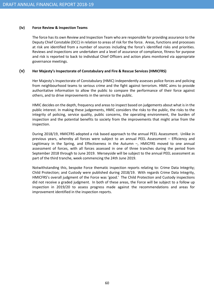#### (iv) Force Review & Inspection Teams

The force has its own Review and Inspection Team who are responsible for providing assurance to the Deputy Chief Constable (DCC) in relation to areas of risk for the force. Areas, functions and processes at risk are identified from a number of sources including the force's identified risks and priorities. Reviews and inspections are undertaken and a level of assurance of compliance, fitness for purpose and risk is reported to back to individual Chief Officers and action plans monitored via appropriate governance meetings.

## **(v)** Her Majesty's Inspectorate of Constabulary and Fire & Rescue Services (HMICFRS)

Her Majesty's Inspectorate of Constabulary (HMIC) independently assesses police forces and policing from neighbourhood teams to serious crime and the fight against terrorism. HMIC aims to provide authoritative information to allow the public to compare the performance of their force against others, and to drive improvements in the service to the public.

HMIC decides on the depth, frequency and areas to inspect based on judgements about what is in the public interest. In making these judgements, HMIC considers the risks to the public, the risks to the integrity of policing, service quality, public concerns, the operating environment, the burden of inspection and the potential benefits to society from the improvements that might arise from the inspection.

During 2018/19, HMICFRS adopted a risk based approach to the annual PEEL Assessment. Unlike in previous years, whereby all forces were subject to an annual PEEL Assessment – Efficiency and Legitimacy in the Spring, and Effectiveness in the Autumn –, HMICFRS moved to one annual assessment of forces, with all forces assessed in one of three tranches during the period from September 2018 through to June 2019. Merseyside will be subject to the annual PEEL assessment as part of the third tranche, week commencing the 24th June 2019.

Notwithstanding this, bespoke Force thematic inspection reports relating to: Crime Data Integrity; Child Protection; and Custody were published during 2018/19. With regards Crime Data Integrity, HMICFRS's overall judgment of the Force was 'good.' The Child Protection and Custody inspections did not receive a graded judgment. In both of these areas, the Force will be subject to a follow up inspection in 2019/20 to assess progress made against the recommendations and areas for improvement identified in the inspection reports.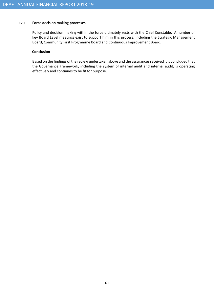# (vi) Force decision making processes

Policy and decision making within the force ultimately rests with the Chief Constable. A number of key Board Level meetings exist to support him in this process, including the Strategic Management Board, Community First Programme Board and Continuous Improvement Board.

#### **Conclusion**

Based on the findings of the review undertaken above and the assurances received it is concluded that the Governance Framework, including the system of internal audit and internal audit, is operating effectively and continues to be fit for purpose.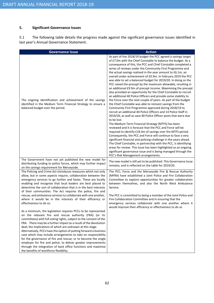## 5. Significant Governance Issues

5.1 The following table details the progress made against the significant governance issues identified in last year's Annual Governance Statement.

| <b>Governance Issue</b>                                                                                                                                                                                                                                                                                                                                                                                                                                                                                                                                                                                                                                                                                                                                                                                                                                                                                                                                                                                                                                                                                                                                                                                                                                                                                                                                                                                                                                             | <b>Action</b>                                                                                                                                                                                                                                                                                                                                                                                                                                                                                                                                                                                                                                                                                                                                                                                                                                                                                                                                                                                                                                                                                                                                                                                                                                                                                                                                                                                                                                                                                                                                                                                                                                         |
|---------------------------------------------------------------------------------------------------------------------------------------------------------------------------------------------------------------------------------------------------------------------------------------------------------------------------------------------------------------------------------------------------------------------------------------------------------------------------------------------------------------------------------------------------------------------------------------------------------------------------------------------------------------------------------------------------------------------------------------------------------------------------------------------------------------------------------------------------------------------------------------------------------------------------------------------------------------------------------------------------------------------------------------------------------------------------------------------------------------------------------------------------------------------------------------------------------------------------------------------------------------------------------------------------------------------------------------------------------------------------------------------------------------------------------------------------------------------|-------------------------------------------------------------------------------------------------------------------------------------------------------------------------------------------------------------------------------------------------------------------------------------------------------------------------------------------------------------------------------------------------------------------------------------------------------------------------------------------------------------------------------------------------------------------------------------------------------------------------------------------------------------------------------------------------------------------------------------------------------------------------------------------------------------------------------------------------------------------------------------------------------------------------------------------------------------------------------------------------------------------------------------------------------------------------------------------------------------------------------------------------------------------------------------------------------------------------------------------------------------------------------------------------------------------------------------------------------------------------------------------------------------------------------------------------------------------------------------------------------------------------------------------------------------------------------------------------------------------------------------------------------|
| The ongoing identification and achievement of the savings<br>identified in the Medium Term Financial Strategy to ensure a<br>balanced budget over the period.                                                                                                                                                                                                                                                                                                                                                                                                                                                                                                                                                                                                                                                                                                                                                                                                                                                                                                                                                                                                                                                                                                                                                                                                                                                                                                       | As part of the 2018/19 budget the PCC agreed a savings target<br>of £7.0m with the Chief Constable to balance the budget. As a<br>consequence of this, the PCC and Chief Constable completed a<br>series of reviews under the Community First Programme and<br>the actual savings realised in the year amount to £6.1m, an<br>overall under-achievement of £0.9m. In February 2019 the PCC<br>was able to set a balanced budget for 2019/20. In doing so the<br>PCC raised the precept by the maximum allowable, resulting in<br>an additional £9.9m of precept income. Maximising the precept<br>also provided an opportunity for the Chief Constable to recruit<br>an additional 40 Police Officers and provide some stability to<br>the Force over the next couple of years. As part of the budget<br>the Chief Constable was able to reinvest savings from the<br>Community First Programme approved during 2018/19 to<br>recruit an additional 40 Police Officers and 14 Police Staff in<br>2019/20, as well as save 40 Police Officer posts that were due<br>to be lost.<br>The Medium Term Financial Strategy (MTFS) has been<br>reviewed and it is forecast that the PCC and Force will be<br>required to identify £18.4m of savings over the MTFS period.<br>Consequently, the PCC and Force will continue to face a very<br>significant financial and policing challenge in the years ahead.<br>The Chief Constable, in partnership with the PCC, is identifying<br>areas for review. This issue has been highlighted as an ongoing<br>significant governance issue and is being managed through the<br>PCC's Risk Management arrangements. |
| The Government have not yet published the new model for<br>distributing funding to police forces, which may further impact<br>on the savings requirement for Merseyside.<br>The Policing and Crime Act introduces measures which not only<br>allow, but in some aspects require, collaboration between the<br>emergency services to go further and faster. These are locally<br>enabling and recognise that local leaders are best placed to<br>determine the sort of collaboration that is in the best interests<br>of their communities. The Act requires the police, fire and<br>rescue, and ambulance services to collaborate with one another,<br>where it would be in the interests of their efficiency or<br>effectiveness to do so.<br>As a minimum, the legislation requires PCCs to be represented<br>on the relevant fire and rescue authority (FRA) (or its<br>committees) with full voting rights, subject to the consent of the<br>FRA. There may be a further impact as a result of the devolution<br>deal; the implications of which are unknown at this stage.<br>Alternatively, PCCs have the option of putting forward a business<br>case which may include arrangements to take on responsibility<br>for the governance of fire and rescue; or to become the single<br>employer for fire and police, to deliver greater improvements<br>through the integration of back office functions and maximise<br>the benefits of workforce flexibility. | The new model is still yet to be published. This Governance Issue<br>remains, and is reflected on the table for 2019/20.<br>The PCC, Force and the Merseyside Fire & Rescue Authority<br>(MFRA) have established a Joint Police and Fire Collaboration<br>Committee to explore opportunities for greater collaboration<br>between themselves, and also the North West Ambulance<br>Service.<br>The PCC is committed to being a member of the Joint Police and<br>Fire Collaboration Committee and in ensuring that the<br>emergency services collaborate with one another where it<br>would improve their efficiency or effectiveness to do so                                                                                                                                                                                                                                                                                                                                                                                                                                                                                                                                                                                                                                                                                                                                                                                                                                                                                                                                                                                                        |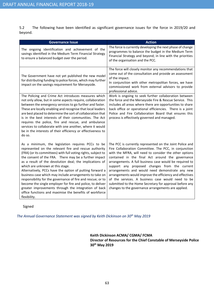5.2 The following have been identified as significant governance issues for the force in 2019/20 and beyond.

| <b>Governance Issue</b>                                                                                                                                                                                                                                                                                                                                                                                                                                                                                                                                                                                                                                                                                                    | <b>Action</b>                                                                                                                                                                                                                                                                                                                                                                                                                                                                                                                                                                                                                     |  |  |
|----------------------------------------------------------------------------------------------------------------------------------------------------------------------------------------------------------------------------------------------------------------------------------------------------------------------------------------------------------------------------------------------------------------------------------------------------------------------------------------------------------------------------------------------------------------------------------------------------------------------------------------------------------------------------------------------------------------------------|-----------------------------------------------------------------------------------------------------------------------------------------------------------------------------------------------------------------------------------------------------------------------------------------------------------------------------------------------------------------------------------------------------------------------------------------------------------------------------------------------------------------------------------------------------------------------------------------------------------------------------------|--|--|
| The ongoing identification and achievement of the<br>savings identified in the Medium Term Financial Strategy<br>to ensure a balanced budget over the period.                                                                                                                                                                                                                                                                                                                                                                                                                                                                                                                                                              | The force is currently developing the next phase of change<br>programmes to balance the budget in the Medium Term<br>Financial Strategy and beyond; in line with the priorities<br>of the organisation and the PCC.                                                                                                                                                                                                                                                                                                                                                                                                               |  |  |
| The Government have not yet published the new model<br>for distributing funding to police forces, which may further<br>impact on the savings requirement for Merseyside.                                                                                                                                                                                                                                                                                                                                                                                                                                                                                                                                                   | The force will closely monitor any recommendations that<br>come out of the consultation and provide an assessment<br>of the impact.<br>In conjunction with other metropolitan forces, we have<br>commissioned work from external advisors to provide<br>professional advice.                                                                                                                                                                                                                                                                                                                                                      |  |  |
| The Policing and Crime Act introduces measures which<br>not only allow, but in some aspects require, collaboration<br>between the emergency services to go further and faster.<br>These are locally enabling and recognise that local leaders<br>are best placed to determine the sort of collaboration that<br>is in the best interests of their communities. The Act<br>requires the police, fire and rescue, and ambulance<br>services to collaborate with one another, where it would<br>be in the interests of their efficiency or effectiveness to<br>do so.                                                                                                                                                         | Work is ongoing to seek further collaboration between<br>the force and the Merseyside Fire & Rescue Service. This<br>includes all areas where there are opportunities to share<br>back office or operational efficiencies. There is a joint<br>Police and Fire Collaboration Board that ensures this<br>process is effectively governed and managed.                                                                                                                                                                                                                                                                              |  |  |
| As a minimum, the legislation requires PCCs to be<br>represented on the relevant fire and rescue authority<br>(FRA) (or its committees) with full voting rights, subject to<br>the consent of the FRA. There may be a further impact<br>as a result of the devolution deal; the implications of<br>which are unknown at this stage.<br>Alternatively, PCCs have the option of putting forward a<br>business case which may include arrangements to take on<br>responsibility for the governance of fire and rescue; or to<br>become the single employer for fire and police, to deliver<br>greater improvements through the integration of back<br>office functions and maximise the benefits of workforce<br>flexibility. | The PCC is currently represented on the Joint Police and<br>Fire Collaboration Committee. The PCC, in conjunction<br>with the MFRA, will need to consider the other options<br>contained in the final Act around the governance<br>arrangements. A full business case would be required to<br>support any proposed changes from the current<br>arrangements and would need demonstrate any new<br>arrangements would improve the efficiency and effectives<br>of the services. A business case would need to be<br>submitted to the Home Secretary for approval before any<br>changes to the governance arrangements are applied. |  |  |

Signed

The Annual Governance Statement was signed by Keith Dickinson on 30<sup>th</sup> May 2019

Keith Dickinson ACMA/ CGMA/ FCMA Director of Resources for the Chief Constable of Merseyside Police 30th May 2019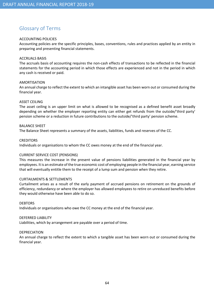# Glossary of Terms

## ACCOUNTING POLICIES

Accounting policies are the specific principles, bases, conventions, rules and practices applied by an entity in preparing and presenting financial statements.

#### ACCRUALS BASIS

The accruals basis of accounting requires the non-cash effects of transactions to be reflected in the financial statements for the accounting period in which those effects are experienced and not in the period in which any cash is received or paid.

## AMORTISATION

An annual charge to reflect the extent to which an intangible asset has been worn out or consumed during the financial year.

## ASSET CEILING

The asset ceiling is an upper limit on what is allowed to be recognised as a defined benefit asset broadly depending on whether the employer reporting entity can either get refunds from the outside/'third party' pension scheme or a reduction in future contributions to the outside/'third party' pension scheme.

## BALANCE SHEET

The Balance Sheet represents a summary of the assets, liabilities, funds and reserves of the CC.

#### **CREDITORS**

Individuals or organisations to whom the CC owes money at the end of the financial year.

## CURRENT SERVICE COST (PENSIONS)

This measures the increase in the present value of pensions liabilities generated in the financial year by employees. It is an estimate of the true economic cost of employing people in the financial year, earning service that will eventually entitle them to the receipt of a lump sum and pension when they retire.

## CURTAILMENTS & SETTLEMENTS

Curtailment arises as a result of the early payment of accrued pensions on retirement on the grounds of efficiency, redundancy or where the employer has allowed employees to retire on unreduced benefits before they would otherwise have been able to do so.

## **DEBTORS**

Individuals or organisations who owe the CC money at the end of the financial year.

#### DEFERRED LIABILITY

Liabilities, which by arrangement are payable over a period of time.

## DEPRECIATION

An annual charge to reflect the extent to which a tangible asset has been worn out or consumed during the financial year.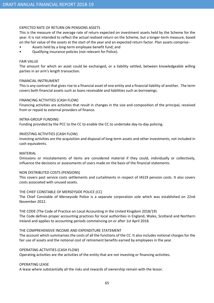## EXPECTED RATE OF RETURN ON PENSIONS ASSETS

This is the measure of the average rate of return expected on investment assets held by the Scheme for the year. It is not intended to reflect the actual realised return on the Scheme, but a longer-term measure, based on the fair value of the assets at the start of the year and an expected return factor. Plan assets comprise:-

- Assets held by a long-term employee benefit fund; and
- Qualifying insurance policies (not relevant for Police).

#### FAIR VALUE

The amount for which an asset could be exchanged, or a liability settled, between knowledgeable willing parties in an arm's length transaction.

#### FINANCIAL INSTRUMENT

This is any contract that gives rise to a financial asset of one entity and a financial liability of another. The term covers both financial assets such as loans receivable and liabilities such as borrowings.

#### FINANCING ACTIVITIES (CASH FLOW)

Financing activities are activities that result in changes in the size and composition of the principal, received from or repaid to external providers of finance.

#### INTRA-GROUP FUNDING

Funding provided by the PCC to the CC to enable the CC to undertake day-to-day policing.

#### INVESTING ACTIVITIES (CASH FLOW)

Investing activities are the acquisition and disposal of long-term assets and other investments, not included in cash equivalents.

#### MATERIAL

Omissions or misstatements of items are considered material if they could, individually or collectively, influence the decisions or assessments of users made on the basis of the financial statements.

#### NON DISTRIBUTED COSTS (PENSIONS)

This covers past service costs settlements and curtailments in respect of IAS19 pension costs. It also covers costs associated with unused assets.

#### THE CHIEF CONSTABLE OF MERSEYSIDE POLICE (CC)

The Chief Constable of Merseyside Police is a separate corporation sole which was established on 22nd November 2012.

#### THE CODE (The Code of Practice on Local Accounting in the United Kingdom 2018/19)

The Code defines proper accounting practices for local authorities in England, Wales, Scotland and Northern Ireland and applies to accounting periods commencing on or after 1st April 2018.

## THE COMPREHENSIVE INCOME AND EXPENDITURE STATEMENT

The account which summarises the costs of all the functions of the CC. It also includes notional charges for the fair use of assets and the notional cost of retirement benefits earned by employees in the year.

## OPERATING ACTIVITIES (CASH FLOW)

Operating activities are the activities of the entity that are not investing or financing activities.

#### OPERATING LEASE

A lease where substantially all the risks and rewards of ownership remain with the lessor.